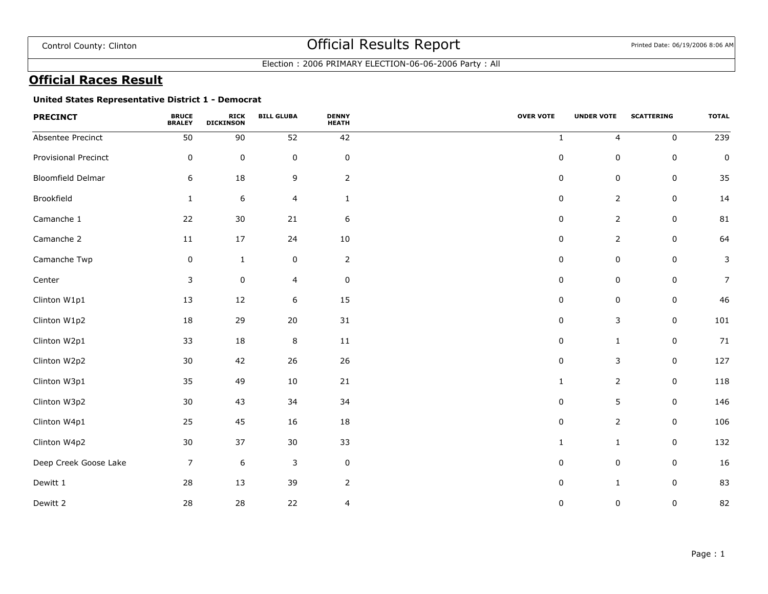Election : 2006 PRIMARY ELECTION-06-06-2006 Party : All

## **Official Races Result**

### **United States Representative District 1 - Democrat**

| <b>PRECINCT</b>          | <b>BRUCE</b><br><b>BRALEY</b> | <b>RICK</b><br><b>DICKINSON</b> | <b>BILL GLUBA</b> | <b>DENNY</b><br><b>HEATH</b> | <b>OVER VOTE</b> | <b>UNDER VOTE</b> | <b>SCATTERING</b> | <b>TOTAL</b>   |
|--------------------------|-------------------------------|---------------------------------|-------------------|------------------------------|------------------|-------------------|-------------------|----------------|
| Absentee Precinct        | 50                            | 90                              | 52                | 42                           | $\mathbf{1}$     | 4                 | $\pmb{0}$         | 239            |
| Provisional Precinct     | $\pmb{0}$                     | $\pmb{0}$                       | $\mathbf 0$       | $\pmb{0}$                    | $\pmb{0}$        | $\pmb{0}$         | $\pmb{0}$         | $\pmb{0}$      |
| <b>Bloomfield Delmar</b> | 6                             | 18                              | 9                 | $\overline{2}$               | $\mathsf 0$      | $\mathsf 0$       | $\pmb{0}$         | 35             |
| Brookfield               | $\mathbf{1}$                  | $\boldsymbol{6}$                | 4                 | $\mathbf{1}$                 | 0                | 2                 | 0                 | 14             |
| Camanche 1               | 22                            | $30\,$                          | 21                | 6                            | 0                | $\overline{2}$    | $\pmb{0}$         | 81             |
| Camanche 2               | 11                            | 17                              | 24                | 10                           | 0                | $\overline{2}$    | 0                 | 64             |
| Camanche Twp             | 0                             | $\mathbf{1}$                    | $\mathbf 0$       | $\overline{2}$               | $\mathsf 0$      | $\mathsf 0$       | $\pmb{0}$         | 3              |
| Center                   | 3                             | $\pmb{0}$                       | 4                 | $\pmb{0}$                    | $\pmb{0}$        | $\pmb{0}$         | $\pmb{0}$         | $\overline{7}$ |
| Clinton W1p1             | 13                            | 12                              | 6                 | 15                           | $\pmb{0}$        | 0                 | 0                 | 46             |
| Clinton W1p2             | 18                            | 29                              | 20                | $31\,$                       | 0                | 3                 | $\pmb{0}$         | 101            |
| Clinton W2p1             | 33                            | $18\,$                          | $\,8\,$           | $11\,$                       | 0                | $\mathbf{1}$      | 0                 | 71             |
| Clinton W2p2             | 30                            | 42                              | 26                | 26                           | $\mathsf 0$      | 3                 | $\pmb{0}$         | 127            |
| Clinton W3p1             | 35                            | 49                              | 10                | 21                           | $\mathbf{1}$     | $\overline{2}$    | $\pmb{0}$         | 118            |
| Clinton W3p2             | 30                            | 43                              | 34                | 34                           | $\mathsf 0$      | 5                 | $\pmb{0}$         | 146            |
| Clinton W4p1             | 25                            | 45                              | 16                | 18                           | $\mathsf 0$      | $\overline{2}$    | $\pmb{0}$         | 106            |
| Clinton W4p2             | 30                            | 37                              | 30                | 33                           | $\mathbf{1}$     | $\mathbf{1}$      | $\pmb{0}$         | 132            |
| Deep Creek Goose Lake    | $\overline{7}$                | $\,$ 6 $\,$                     | 3                 | $\mathbf 0$                  | 0                | 0                 | 0                 | 16             |
| Dewitt 1                 | 28                            | 13                              | 39                | $\overline{2}$               | $\pmb{0}$        | $\mathbf{1}$      | $\pmb{0}$         | 83             |
| Dewitt 2                 | 28                            | 28                              | 22                | 4                            | 0                | 0                 | $\pmb{0}$         | 82             |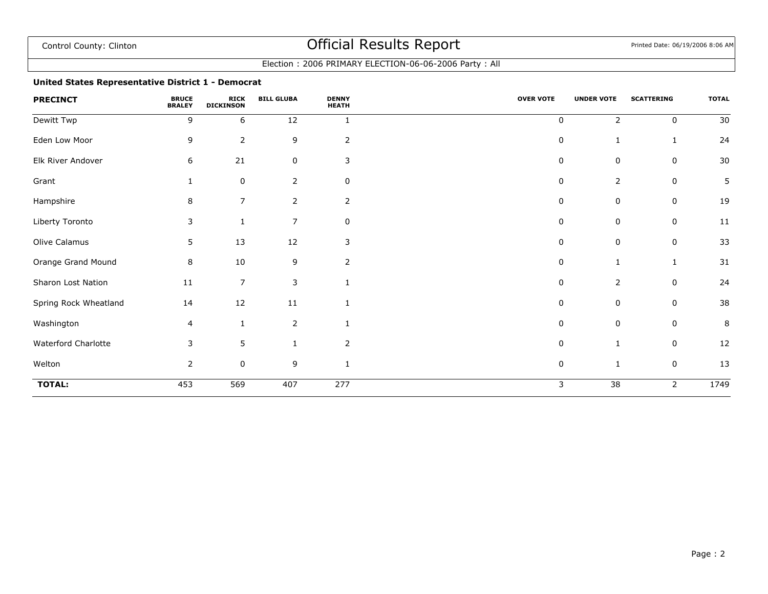### Election : 2006 PRIMARY ELECTION-06-06-2006 Party : All

### **United States Representative District 1 - Democrat**

| <b>PRECINCT</b>       | <b>BRUCE</b><br><b>BRALEY</b> | <b>RICK</b><br><b>DICKINSON</b> | <b>BILL GLUBA</b> | <b>DENNY</b><br><b>HEATH</b> | <b>OVER VOTE</b> | <b>UNDER VOTE</b> | <b>SCATTERING</b> | <b>TOTAL</b> |
|-----------------------|-------------------------------|---------------------------------|-------------------|------------------------------|------------------|-------------------|-------------------|--------------|
| Dewitt Twp            | 9                             | 6                               | 12                | 1                            | $\mathbf 0$      | 2                 | 0                 | 30           |
| Eden Low Moor         | 9                             | $\overline{2}$                  | 9                 | $\overline{2}$               | $\pmb{0}$        | 1                 | 1                 | 24           |
| Elk River Andover     | 6                             | 21                              | $\pmb{0}$         | 3                            | $\Omega$         | $\mathsf 0$       | $\pmb{0}$         | 30           |
| Grant                 |                               | 0                               | $\mathbf{2}$      | 0                            | 0                | 2                 | 0                 | 5            |
| Hampshire             | 8                             | $\overline{7}$                  | $\overline{2}$    | 2                            | 0                | 0                 | 0                 | 19           |
| Liberty Toronto       | 3                             | 1                               | $\overline{7}$    | 0                            | 0                | 0                 | 0                 | 11           |
| Olive Calamus         | 5                             | 13                              | 12                | 3                            | $\Omega$         | $\mathsf 0$       | $\pmb{0}$         | 33           |
| Orange Grand Mound    | 8                             | 10                              | 9                 | $\overline{2}$               | $\mathbf 0$      | $\mathbf{1}$      | 1                 | 31           |
| Sharon Lost Nation    | 11                            | $\overline{7}$                  | 3                 |                              | $\mathbf 0$      | 2                 | $\mathbf 0$       | 24           |
| Spring Rock Wheatland | 14                            | 12                              | 11                |                              | $\mathbf 0$      | 0                 | 0                 | 38           |
| Washington            | 4                             | $\mathbf{1}$                    | $\overline{2}$    |                              | $\Omega$         | $\mathbf 0$       | $\mathbf 0$       | 8            |
| Waterford Charlotte   | 3                             | 5                               | 1                 | $\overline{2}$               | 0                | 1                 | $\mathbf 0$       | 12           |
| Welton                | 2                             | $\mathbf 0$                     | 9                 |                              | 0                | $\mathbf{1}$      | 0                 | 13           |
| <b>TOTAL:</b>         | 453                           | 569                             | 407               | 277                          | 3                | $\overline{38}$   | 2                 | 1749         |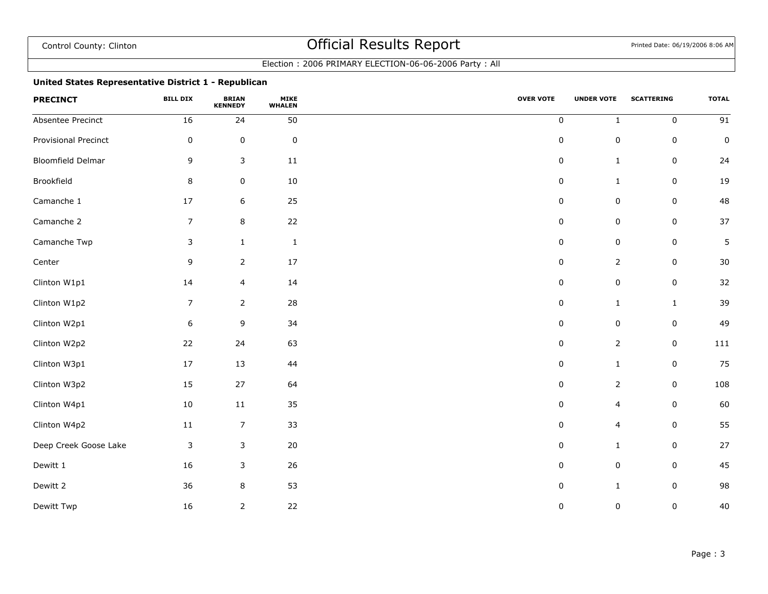### Election : 2006 PRIMARY ELECTION-06-06-2006 Party : All

### **United States Representative District 1 - Republican**

| <b>PRECINCT</b>          | <b>BILL DIX</b> | <b>BRIAN</b><br><b>KENNEDY</b> | <b>MIKE</b><br><b>WHALEN</b> | <b>OVER VOTE</b> | <b>UNDER VOTE</b> | <b>SCATTERING</b> | <b>TOTAL</b>    |
|--------------------------|-----------------|--------------------------------|------------------------------|------------------|-------------------|-------------------|-----------------|
| Absentee Precinct        | 16              | 24                             | 50                           | $\pmb{0}$        | $\mathbf{1}$      | $\pmb{0}$         | $\overline{91}$ |
| Provisional Precinct     | $\pmb{0}$       | $\mathbf 0$                    | $\pmb{0}$                    | $\pmb{0}$        | $\pmb{0}$         | $\mathbf 0$       | $\mathsf 0$     |
| <b>Bloomfield Delmar</b> | 9               | $\mathsf{3}$                   | $11\,$                       | $\pmb{0}$        | $\mathbf{1}$      | $\mathbf 0$       | 24              |
| Brookfield               | $\bf 8$         | $\pmb{0}$                      | 10                           | $\pmb{0}$        | $\mathbf{1}$      | $\mathsf 0$       | 19              |
| Camanche 1               | 17              | $6\,$                          | 25                           | $\pmb{0}$        | $\pmb{0}$         | $\pmb{0}$         | 48              |
| Camanche 2               | $\overline{7}$  | $\bf 8$                        | 22                           | $\pmb{0}$        | $\pmb{0}$         | $\pmb{0}$         | 37              |
| Camanche Twp             | $\mathsf{3}$    | $\,1\,$                        | $\,1\,$                      | $\pmb{0}$        | $\pmb{0}$         | $\pmb{0}$         | 5               |
| Center                   | 9               | $\overline{2}$                 | 17                           | 0                | $\overline{2}$    | $\mathsf 0$       | 30              |
| Clinton W1p1             | 14              | $\overline{4}$                 | 14                           | $\pmb{0}$        | $\pmb{0}$         | $\pmb{0}$         | 32              |
| Clinton W1p2             | $\overline{7}$  | $\overline{2}$                 | 28                           | $\pmb{0}$        | $\mathbf{1}$      | $\mathbf{1}$      | 39              |
| Clinton W2p1             | $6\,$           | 9                              | 34                           | $\pmb{0}$        | $\pmb{0}$         | $\pmb{0}$         | 49              |
| Clinton W2p2             | 22              | 24                             | 63                           | $\pmb{0}$        | $\overline{2}$    | $\mathsf 0$       | 111             |
| Clinton W3p1             | $17$            | 13                             | 44                           | $\pmb{0}$        | $\mathbf{1}$      | $\mathsf 0$       | 75              |
| Clinton W3p2             | 15              | 27                             | 64                           | $\pmb{0}$        | $\overline{2}$    | $\mathsf 0$       | 108             |
| Clinton W4p1             | 10              | 11                             | 35                           | 0                | $\overline{4}$    | 0                 | 60              |
| Clinton W4p2             | 11              | $\overline{7}$                 | 33                           | $\pmb{0}$        | $\overline{4}$    | $\mathsf 0$       | 55              |
| Deep Creek Goose Lake    | $\mathsf 3$     | $\mathsf{3}$                   | 20                           | 0                | $\mathbf{1}$      | $\pmb{0}$         | 27              |
| Dewitt 1                 | 16              | 3                              | 26                           | 0                | 0                 | 0                 | 45              |
| Dewitt 2                 | 36              | 8                              | 53                           | $\pmb{0}$        | $\mathbf{1}$      | $\pmb{0}$         | 98              |
| Dewitt Twp               | 16              | $\overline{2}$                 | 22                           | 0                | $\pmb{0}$         | $\mathsf 0$       | 40              |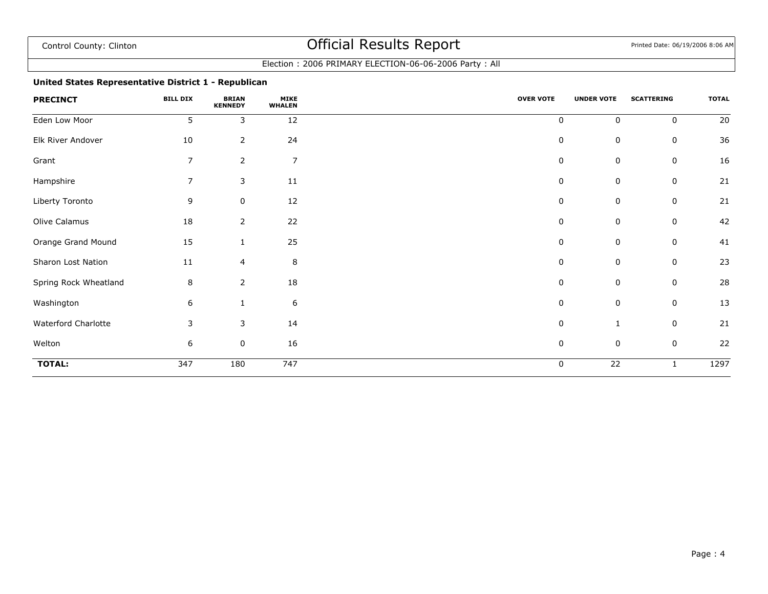### Election : 2006 PRIMARY ELECTION-06-06-2006 Party : All

### **United States Representative District 1 - Republican**

| <b>PRECINCT</b>       | <b>BILL DIX</b> | <b>BRIAN</b><br><b>KENNEDY</b> | <b>MIKE</b><br><b>WHALEN</b> | <b>OVER VOTE</b> | <b>UNDER VOTE</b> | <b>SCATTERING</b> | <b>TOTAL</b> |
|-----------------------|-----------------|--------------------------------|------------------------------|------------------|-------------------|-------------------|--------------|
| Eden Low Moor         | 5               | 3                              | 12                           | 0                | $\mathbf 0$       | $\mathbf 0$       | 20           |
| Elk River Andover     | 10              | $\overline{2}$                 | 24                           | $\pmb{0}$        | 0                 | $\mathbf 0$       | 36           |
| Grant                 | $\overline{7}$  | $\overline{2}$                 | $\overline{7}$               | 0                | $\pmb{0}$         | 0                 | 16           |
| Hampshire             | $\overline{7}$  | 3                              | 11                           | 0                | 0                 | $\mathbf 0$       | 21           |
| Liberty Toronto       | 9               | 0                              | 12                           | 0                | $\mathbf 0$       | 0                 | 21           |
| Olive Calamus         | 18              | $\overline{2}$                 | 22                           | 0                | $\pmb{0}$         | 0                 | 42           |
| Orange Grand Mound    | 15              | $\mathbf{1}$                   | 25                           | 0                | 0                 | 0                 | 41           |
| Sharon Lost Nation    | 11              | 4                              | $\,$ 8 $\,$                  | 0                | $\pmb{0}$         | $\mathbf 0$       | 23           |
| Spring Rock Wheatland | 8               | $\overline{2}$                 | 18                           | 0                | 0                 | $\mathbf 0$       | 28           |
| Washington            | 6               | $\mathbf{1}$                   | $\boldsymbol{6}$             | 0                | 0                 | $\mathsf 0$       | 13           |
| Waterford Charlotte   | 3               | 3                              | 14                           | $\pmb{0}$        | 1                 | $\mathbf 0$       | 21           |
| Welton                | 6               | 0                              | 16                           | 0                | 0                 | 0                 | 22           |
| <b>TOTAL:</b>         | 347             | 180                            | 747                          | $\pmb{0}$        | $\overline{22}$   | $\mathbf{1}$      | 1297         |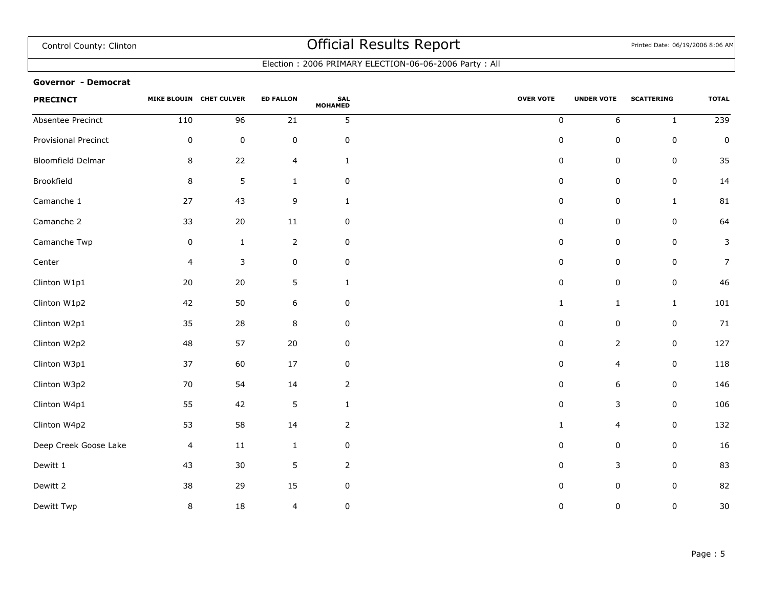Election : 2006 PRIMARY ELECTION-06-06-2006 Party : All

#### **Governor - Democrat**

| <b>PRECINCT</b>       |                         | MIKE BLOUIN CHET CULVER | <b>ED FALLON</b> | <b>SAL</b><br><b>MOHAMED</b> | <b>OVER VOTE</b> | <b>UNDER VOTE</b> | <b>SCATTERING</b> | <b>TOTAL</b>     |
|-----------------------|-------------------------|-------------------------|------------------|------------------------------|------------------|-------------------|-------------------|------------------|
| Absentee Precinct     | 110                     | 96                      | $21\,$           | 5                            | $\pmb{0}$        | $\boldsymbol{6}$  | $\mathbf{1}$      | $\overline{239}$ |
| Provisional Precinct  | 0                       | $\pmb{0}$               | $\pmb{0}$        | 0                            | 0                | 0                 | 0                 | $\pmb{0}$        |
| Bloomfield Delmar     | 8                       | 22                      | $\overline{4}$   | $\mathbf{1}$                 | $\pmb{0}$        | $\mathsf 0$       | $\pmb{0}$         | 35               |
| Brookfield            | 8                       | 5                       | $\mathbf{1}$     | 0                            | $\pmb{0}$        | $\pmb{0}$         | $\pmb{0}$         | 14               |
| Camanche 1            | 27                      | 43                      | 9                | $\mathbf{1}$                 | $\mathbf 0$      | 0                 | $\mathbf{1}$      | 81               |
| Camanche 2            | 33                      | 20                      | $11\,$           | 0                            | $\pmb{0}$        | $\pmb{0}$         | $\pmb{0}$         | 64               |
| Camanche Twp          | 0                       | $\mathbf{1}$            | $\mathbf 2$      | 0                            | 0                | $\pmb{0}$         | $\pmb{0}$         | 3                |
| Center                | $\overline{\mathbf{4}}$ | $\mathsf 3$             | $\mathsf 0$      | 0                            | 0                | $\pmb{0}$         | $\pmb{0}$         | $\overline{7}$   |
| Clinton W1p1          | 20                      | 20                      | 5                | $\mathbf{1}$                 | $\pmb{0}$        | $\pmb{0}$         | $\pmb{0}$         | 46               |
| Clinton W1p2          | 42                      | 50                      | 6                | $\pmb{0}$                    | $\mathbf{1}$     | $\mathbf{1}$      | $\mathbf{1}$      | 101              |
| Clinton W2p1          | 35                      | 28                      | $\, 8$           | 0                            | 0                | 0                 | $\pmb{0}$         | 71               |
| Clinton W2p2          | 48                      | 57                      | $20\,$           | $\pmb{0}$                    | $\pmb{0}$        | $\mathbf 2$       | $\pmb{0}$         | 127              |
| Clinton W3p1          | 37                      | 60                      | 17               | 0                            | $\mathbf 0$      | 4                 | $\pmb{0}$         | 118              |
| Clinton W3p2          | 70                      | 54                      | 14               | $\overline{2}$               | $\pmb{0}$        | 6                 | $\pmb{0}$         | 146              |
| Clinton W4p1          | 55                      | 42                      | $\sqrt{5}$       | $\mathbf{1}$                 | 0                | 3                 | $\pmb{0}$         | 106              |
| Clinton W4p2          | 53                      | 58                      | 14               | $\overline{2}$               | $\mathbf{1}$     | 4                 | 0                 | 132              |
| Deep Creek Goose Lake | 4                       | $11\,$                  | $\mathbf{1}$     | 0                            | $\pmb{0}$        | $\mathsf 0$       | $\pmb{0}$         | 16               |
| Dewitt 1              | 43                      | 30                      | $\sqrt{5}$       | $\overline{2}$               | 0                | 3                 | $\pmb{0}$         | 83               |
| Dewitt 2              | 38                      | 29                      | 15               | 0                            | 0                | $\pmb{0}$         | 0                 | 82               |
| Dewitt Twp            | 8                       | 18                      | 4                | 0                            | 0                | $\pmb{0}$         | $\pmb{0}$         | 30               |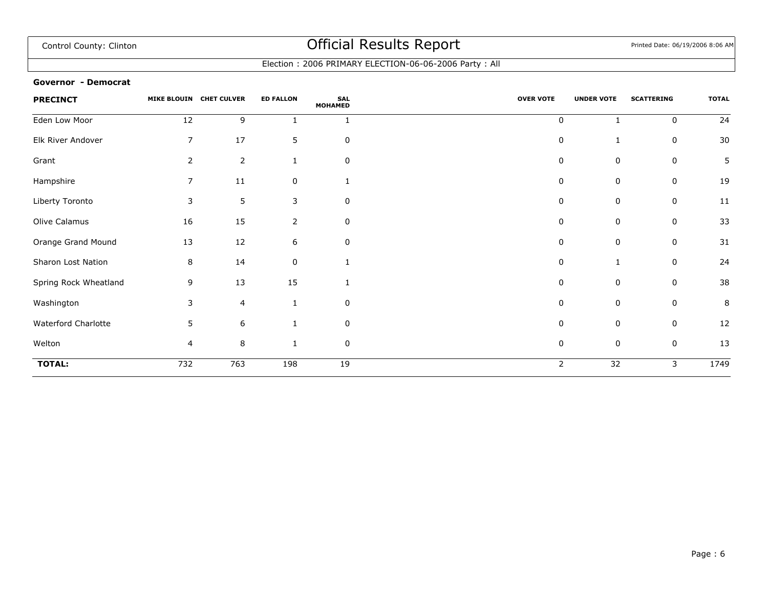Election : 2006 PRIMARY ELECTION-06-06-2006 Party : All

#### **Governor - Democrat**

| <b>PRECINCT</b>       |                | MIKE BLOUIN CHET CULVER | <b>ED FALLON</b> | <b>SAL</b><br><b>MOHAMED</b> | <b>OVER VOTE</b> | <b>UNDER VOTE</b> | <b>SCATTERING</b> | <b>TOTAL</b> |
|-----------------------|----------------|-------------------------|------------------|------------------------------|------------------|-------------------|-------------------|--------------|
| Eden Low Moor         | 12             | 9                       |                  | $\mathbf{1}$                 | 0                |                   | $\mathbf 0$       | 24           |
| Elk River Andover     | $\overline{7}$ | 17                      | 5                | 0                            | 0                |                   | 0                 | 30           |
| Grant                 | 2              | $\overline{2}$          |                  | 0                            | 0                | 0                 | 0                 | 5            |
| Hampshire             | 7              | 11                      | 0                |                              | 0                | 0                 | 0                 | 19           |
| Liberty Toronto       | 3              | $\overline{5}$          | 3                | $\mathbf 0$                  | 0                | 0                 | 0                 | 11           |
| Olive Calamus         | 16             | 15                      | 2                | 0                            | 0                | 0                 | 0                 | 33           |
| Orange Grand Mound    | 13             | 12                      | 6                | 0                            | 0                | 0                 | 0                 | 31           |
| Sharon Lost Nation    | 8              | 14                      | 0                | $\mathbf{1}$                 | 0                |                   | $\mathbf 0$       | 24           |
| Spring Rock Wheatland | 9              | 13                      | 15               | -1                           | 0                | 0                 | $\mathbf 0$       | 38           |
| Washington            | 3              | $\overline{4}$          | 1                | $\mathbf 0$                  | 0                | 0                 | 0                 | 8            |
| Waterford Charlotte   | 5              | 6                       |                  | 0                            | 0                | 0                 | 0                 | 12           |
| Welton                | 4              | $\, 8$                  | $\mathbf{1}$     | $\mathbf 0$                  | $\pmb{0}$        | 0                 | $\mathbf 0$       | 13           |
| <b>TOTAL:</b>         | 732            | 763                     | 198              | 19                           | $\overline{2}$   | $\overline{32}$   | 3                 | 1749         |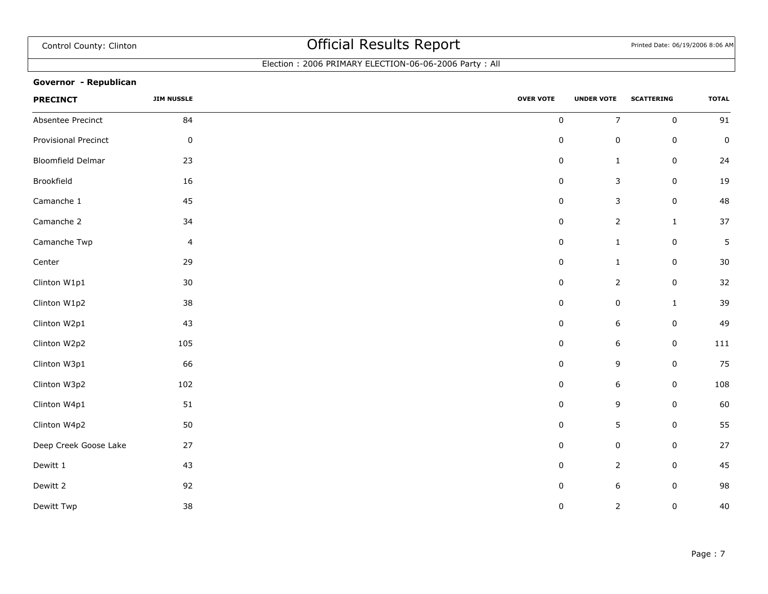### Election : 2006 PRIMARY ELECTION-06-06-2006 Party : All

### **Governor - Republican**

| <b>PRECINCT</b>       | <b>JIM NUSSLE</b> | <b>OVER VOTE</b> | <b>UNDER VOTE</b> | <b>SCATTERING</b> | <b>TOTAL</b> |
|-----------------------|-------------------|------------------|-------------------|-------------------|--------------|
| Absentee Precinct     | 84                | $\pmb{0}$        | $\overline{7}$    | $\mathbf 0$       | 91           |
| Provisional Precinct  | $\pmb{0}$         | $\pmb{0}$        | $\pmb{0}$         | $\mathsf 0$       | $\pmb{0}$    |
| Bloomfield Delmar     | 23                | 0                | $\mathbf{1}$      | 0                 | 24           |
| Brookfield            | 16                | 0                | $\mathsf 3$       | $\pmb{0}$         | 19           |
| Camanche 1            | 45                | $\pmb{0}$        | $\mathsf 3$       | $\pmb{0}$         | 48           |
| Camanche 2            | 34                | $\pmb{0}$        | $\overline{2}$    | $\mathbf{1}$      | 37           |
| Camanche Twp          | $\overline{4}$    | 0                | $\mathbf{1}$      | $\mathsf 0$       | $\sqrt{5}$   |
| Center                | 29                | $\pmb{0}$        | $\mathbf{1}$      | $\mathsf 0$       | 30           |
| Clinton W1p1          | $30\,$            | 0                | $\overline{2}$    | $\pmb{0}$         | 32           |
| Clinton W1p2          | 38                | 0                | $\pmb{0}$         | $\mathbf{1}$      | 39           |
| Clinton W2p1          | 43                | 0                | $\boldsymbol{6}$  | $\mathsf 0$       | 49           |
| Clinton W2p2          | 105               | 0                | 6                 | $\pmb{0}$         | 111          |
| Clinton W3p1          | 66                | $\pmb{0}$        | 9                 | $\pmb{0}$         | 75           |
| Clinton W3p2          | 102               | $\pmb{0}$        | $\boldsymbol{6}$  | $\pmb{0}$         | 108          |
| Clinton W4p1          | $51\,$            | $\pmb{0}$        | 9                 | $\mathsf 0$       | 60           |
| Clinton W4p2          | 50                | $\pmb{0}$        | 5                 | $\mathbf 0$       | 55           |
| Deep Creek Goose Lake | 27                | 0                | $\pmb{0}$         | $\mathsf 0$       | 27           |
| Dewitt 1              | 43                | $\pmb{0}$        | $\overline{2}$    | $\mathsf 0$       | 45           |
| Dewitt 2              | 92                | 0                | 6                 | 0                 | 98           |
| Dewitt Twp            | 38                | $\pmb{0}$        | $\overline{2}$    | $\mathsf 0$       | 40           |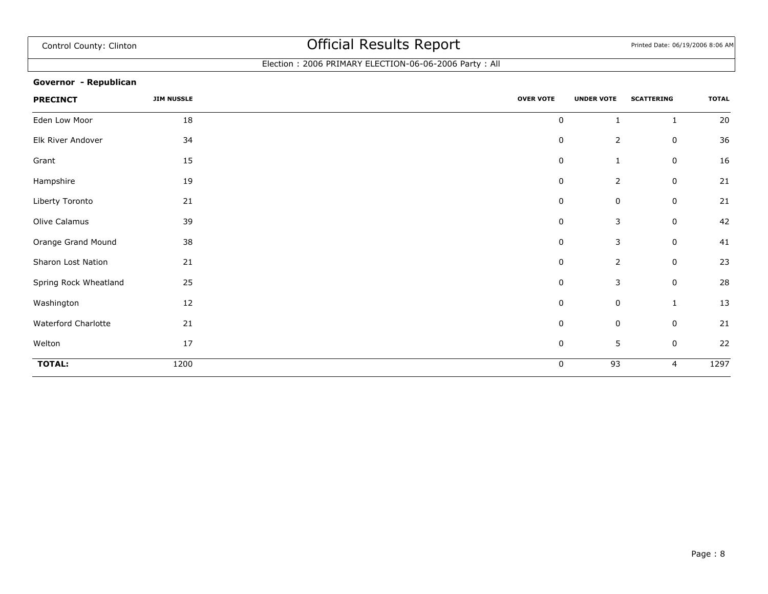### Election : 2006 PRIMARY ELECTION-06-06-2006 Party : All

### **Governor - Republican**

| <b>PRECINCT</b>       | <b>JIM NUSSLE</b> | <b>OVER VOTE</b><br><b>UNDER VOTE</b> |                | <b>SCATTERING</b> | <b>TOTAL</b> |
|-----------------------|-------------------|---------------------------------------|----------------|-------------------|--------------|
| Eden Low Moor         | 18                | $\mathbf 0$                           | $\mathbf{1}$   | $\mathbf{1}$      | 20           |
| Elk River Andover     | 34                | $\pmb{0}$                             | $\overline{2}$ | 0                 | 36           |
| Grant                 | 15                | $\pmb{0}$                             | $\mathbf{1}$   | 0                 | 16           |
| Hampshire             | 19                | $\pmb{0}$                             | $\overline{2}$ | 0                 | 21           |
| Liberty Toronto       | 21                | $\mathbf 0$                           | 0              | 0                 | 21           |
| Olive Calamus         | 39                | $\pmb{0}$                             | 3              | 0                 | 42           |
| Orange Grand Mound    | 38                | $\pmb{0}$                             | 3              | $\mathbf 0$       | 41           |
| Sharon Lost Nation    | 21                | 0                                     | $\overline{2}$ | 0                 | 23           |
| Spring Rock Wheatland | 25                | $\mathbf 0$                           | 3              | 0                 | 28           |
| Washington            | 12                | $\pmb{0}$                             | $\mathbf 0$    | $\mathbf{1}$      | 13           |
| Waterford Charlotte   | 21                | $\pmb{0}$                             | $\mathbf 0$    | 0                 | 21           |
| Welton                | 17                | $\pmb{0}$                             | $\sqrt{5}$     | $\mathbf 0$       | 22           |
| <b>TOTAL:</b>         | 1200              | $\mathbf 0$                           | 93             | 4                 | 1297         |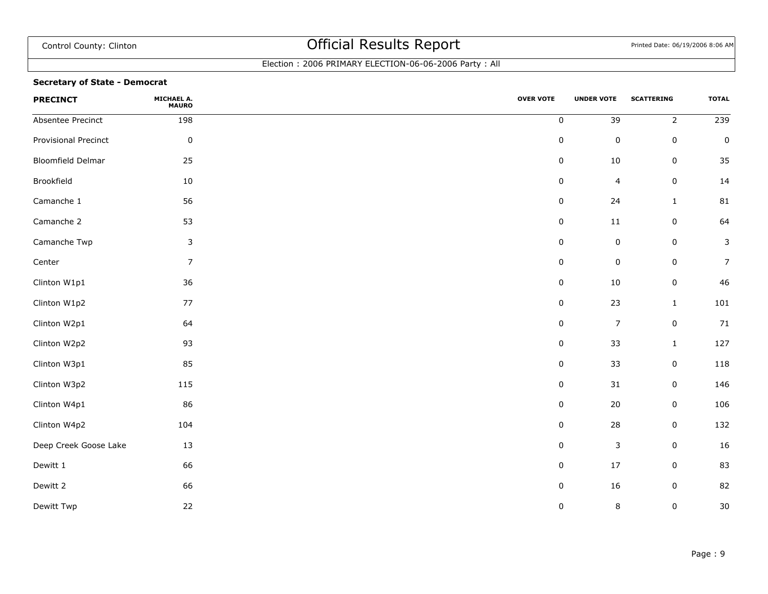### Election : 2006 PRIMARY ELECTION-06-06-2006 Party : All

### **Secretary of State - Democrat**

| <b>PRECINCT</b>       | <b>MICHAEL A.<br/>MAURO</b> | <b>OVER VOTE</b> | <b>UNDER VOTE</b>       | <b>SCATTERING</b> | <b>TOTAL</b>    |
|-----------------------|-----------------------------|------------------|-------------------------|-------------------|-----------------|
| Absentee Precinct     | 198                         | $\pmb{0}$        | 39                      | $\overline{2}$    | $\frac{1}{239}$ |
| Provisional Precinct  | $\pmb{0}$                   | $\pmb{0}$        | $\pmb{0}$               | $\mathsf 0$       | $\pmb{0}$       |
| Bloomfield Delmar     | 25                          | 0                | $10\,$                  | $\mathsf 0$       | 35              |
| Brookfield            | 10                          | $\pmb{0}$        | $\overline{\mathbf{4}}$ | $\pmb{0}$         | 14              |
| Camanche 1            | 56                          | $\pmb{0}$        | 24                      | $\mathbf 1$       | 81              |
| Camanche 2            | 53                          | $\pmb{0}$        | $11\,$                  | $\pmb{0}$         | 64              |
| Camanche Twp          | $\mathsf 3$                 | $\pmb{0}$        | $\pmb{0}$               | $\pmb{0}$         | 3               |
| Center                | 7                           | 0                | $\pmb{0}$               | $\mathsf 0$       | $\overline{7}$  |
| Clinton W1p1          | 36                          | $\pmb{0}$        | 10                      | $\mathsf 0$       | 46              |
| Clinton W1p2          | 77                          | $\pmb{0}$        | 23                      | $\mathbf{1}$      | 101             |
| Clinton W2p1          | 64                          | 0                | $\overline{7}$          | $\mathsf 0$       | 71              |
| Clinton W2p2          | 93                          | $\pmb{0}$        | 33                      | $\mathbf{1}$      | 127             |
| Clinton W3p1          | 85                          | $\pmb{0}$        | 33                      | $\pmb{0}$         | 118             |
| Clinton W3p2          | 115                         | $\pmb{0}$        | $31\,$                  | $\pmb{0}$         | 146             |
| Clinton W4p1          | 86                          | 0                | 20                      | $\pmb{0}$         | 106             |
| Clinton W4p2          | 104                         | $\pmb{0}$        | 28                      | $\mathbf 0$       | 132             |
| Deep Creek Goose Lake | 13                          | $\pmb{0}$        | $\mathsf 3$             | $\mathsf 0$       | 16              |
| Dewitt 1              | 66                          | $\pmb{0}$        | 17                      | $\mathsf 0$       | 83              |
| Dewitt 2              | 66                          | $\pmb{0}$        | 16                      | $\mathsf 0$       | 82              |
| Dewitt Twp            | 22                          | 0                | $\bf 8$                 | 0                 | 30              |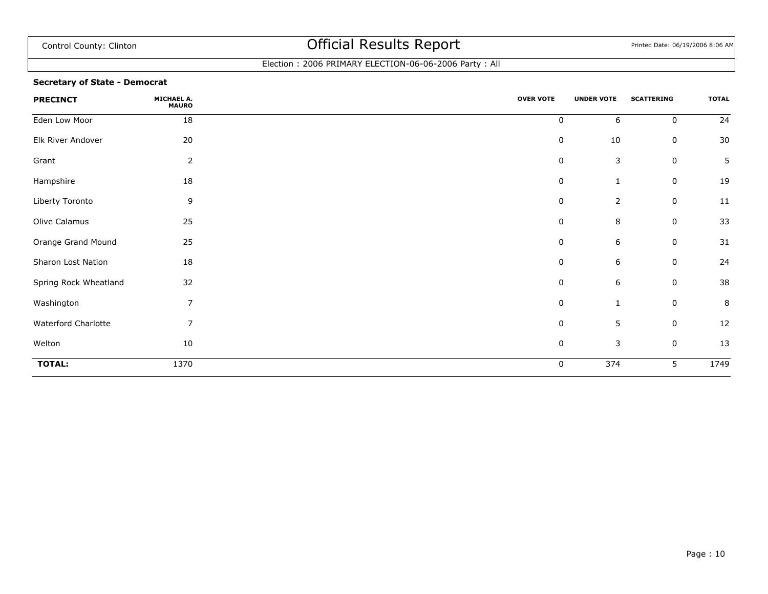### Election : 2006 PRIMARY ELECTION-06-06-2006 Party : All

### **Secretary of State - Democrat**

| <b>PRECINCT</b>       | MICHAEL A.<br><b>MAURO</b> | <b>OVER VOTE</b> | <b>UNDER VOTE</b> | <b>SCATTERING</b> | <b>TOTAL</b> |
|-----------------------|----------------------------|------------------|-------------------|-------------------|--------------|
| Eden Low Moor         | 18                         | $\pmb{0}$        | 6                 | $\mathbf 0$       | 24           |
| Elk River Andover     | 20                         | $\boldsymbol{0}$ | $10\,$            | 0                 | 30           |
| Grant                 | $\overline{2}$             | 0                | 3                 | 0                 | 5            |
| Hampshire             | 18                         | $\boldsymbol{0}$ | 1                 | 0                 | 19           |
| Liberty Toronto       | 9                          | $\boldsymbol{0}$ | $\overline{2}$    | 0                 | 11           |
| Olive Calamus         | 25                         | 0                | 8                 | 0                 | 33           |
| Orange Grand Mound    | 25                         | $\boldsymbol{0}$ | 6                 | 0                 | 31           |
| Sharon Lost Nation    | 18                         | 0                | 6                 | 0                 | 24           |
| Spring Rock Wheatland | 32                         | 0                | 6                 | 0                 | 38           |
| Washington            | $\overline{7}$             | $\pmb{0}$        | 1                 | $\mathbf 0$       | $\bf 8$      |
| Waterford Charlotte   | 7                          | $\boldsymbol{0}$ | 5                 | 0                 | 12           |
| Welton                | 10                         | $\boldsymbol{0}$ | 3                 | $\mathsf 0$       | 13           |
| <b>TOTAL:</b>         | 1370                       | 0                | $\overline{374}$  | 5                 | 1749         |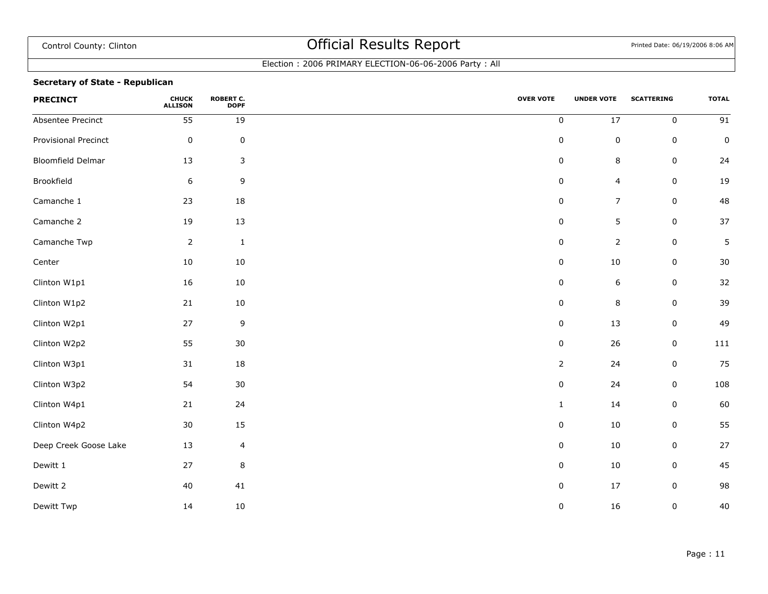### Election : 2006 PRIMARY ELECTION-06-06-2006 Party : All

### **Secretary of State - Republican**

| <b>PRECINCT</b>       | <b>CHUCK<br/>ALLISON</b> | <b>ROBERT C.</b><br><b>DOPF</b> | <b>OVER VOTE</b> | <b>UNDER VOTE</b> | <b>SCATTERING</b> | <b>TOTAL</b>    |
|-----------------------|--------------------------|---------------------------------|------------------|-------------------|-------------------|-----------------|
| Absentee Precinct     | $\overline{55}$          | 19                              | $\pmb{0}$        | $\overline{17}$   | $\mathbf 0$       | $\overline{91}$ |
| Provisional Precinct  | $\pmb{0}$                | $\pmb{0}$                       | $\pmb{0}$        | $\pmb{0}$         | $\mathbf 0$       | $\mathsf 0$     |
| Bloomfield Delmar     | 13                       | 3                               | $\pmb{0}$        | $\,$ 8 $\,$       | $\mathbf 0$       | 24              |
| Brookfield            | 6                        | 9                               | $\pmb{0}$        | $\overline{4}$    | $\mathbf 0$       | $19\,$          |
| Camanche 1            | 23                       | 18                              | $\pmb{0}$        | $\overline{7}$    | $\mathbf 0$       | 48              |
| Camanche 2            | 19                       | 13                              | $\pmb{0}$        | 5                 | $\mathbf 0$       | 37              |
| Camanche Twp          | $\overline{2}$           | $\mathbf 1$                     | $\pmb{0}$        | $\overline{2}$    | 0                 | 5               |
| Center                | 10                       | $10\,$                          | $\pmb{0}$        | $10\,$            | $\mathbf 0$       | 30              |
| Clinton W1p1          | 16                       | 10                              | $\pmb{0}$        | $\boldsymbol{6}$  | $\mathbf 0$       | 32              |
| Clinton W1p2          | 21                       | 10                              | $\pmb{0}$        | $\, 8$            | $\mathbf 0$       | 39              |
| Clinton W2p1          | 27                       | $\mathsf 9$                     | 0                | 13                | 0                 | 49              |
| Clinton W2p2          | 55                       | 30                              | $\pmb{0}$        | 26                | $\mathbf 0$       | 111             |
| Clinton W3p1          | 31                       | 18                              | $\overline{2}$   | 24                | 0                 | 75              |
| Clinton W3p2          | 54                       | 30                              | $\pmb{0}$        | 24                | $\mathbf 0$       | 108             |
| Clinton W4p1          | 21                       | 24                              | $\mathbf{1}$     | 14                | 0                 | 60              |
| Clinton W4p2          | $30\,$                   | 15                              | $\pmb{0}$        | $10\,$            | $\mathbf 0$       | 55              |
| Deep Creek Goose Lake | 13                       | $\overline{4}$                  | $\pmb{0}$        | $10\,$            | 0                 | 27              |
| Dewitt 1              | 27                       | $\, 8$                          | $\pmb{0}$        | $10\,$            | $\mathbf 0$       | 45              |
| Dewitt 2              | 40                       | 41                              | $\pmb{0}$        | 17                | $\mathbf 0$       | 98              |
| Dewitt Twp            | 14                       | $10\,$                          | 0                | 16                | 0                 | 40              |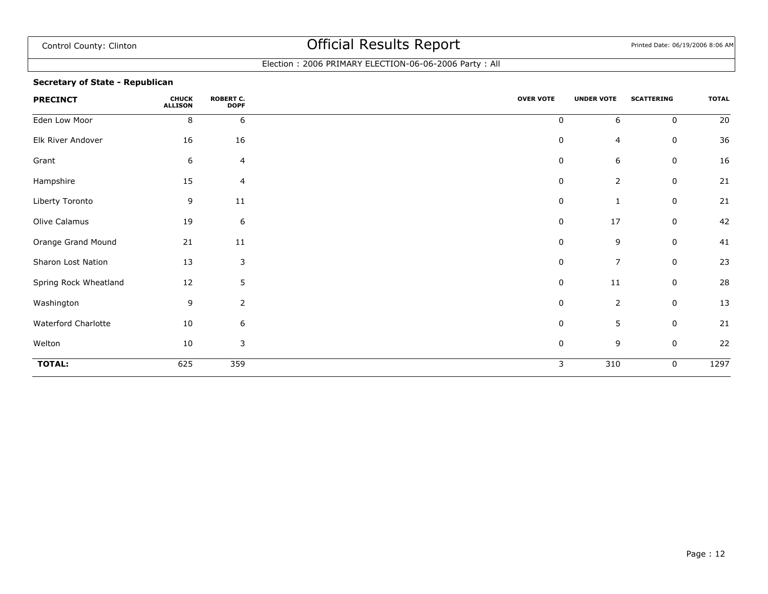### Election : 2006 PRIMARY ELECTION-06-06-2006 Party : All

### **Secretary of State - Republican**

| <b>PRECINCT</b>       | <b>CHUCK</b><br><b>ALLISON</b> | <b>ROBERT C.</b><br><b>DOPF</b> | <b>OVER VOTE</b> | <b>UNDER VOTE</b> | <b>SCATTERING</b> | <b>TOTAL</b> |
|-----------------------|--------------------------------|---------------------------------|------------------|-------------------|-------------------|--------------|
| Eden Low Moor         | 8                              | 6                               | 0                | 6                 | $\mathbf 0$       | 20           |
| Elk River Andover     | 16                             | 16                              | $\pmb{0}$        | 4                 | $\mathbf 0$       | 36           |
| Grant                 | 6                              | $\overline{4}$                  | 0                | 6                 | $\mathbf 0$       | 16           |
| Hampshire             | 15                             | $\overline{a}$                  | $\pmb{0}$        | $\overline{2}$    | 0                 | 21           |
| Liberty Toronto       | 9                              | 11                              | 0                | 1                 | $\mathbf 0$       | 21           |
| Olive Calamus         | 19                             | $\boldsymbol{6}$                | 0                | 17                | $\mathbf 0$       | 42           |
| Orange Grand Mound    | 21                             | 11                              | $\pmb{0}$        | 9                 | $\mathbf 0$       | 41           |
| Sharon Lost Nation    | 13                             | 3                               | 0                | 7                 | $\mathbf 0$       | 23           |
| Spring Rock Wheatland | 12                             | $5\phantom{.0}$                 | 0                | $11\,$            | $\mathbf 0$       | 28           |
| Washington            | 9                              | $\overline{2}$                  | 0                | $\mathbf 2$       | $\mathbf 0$       | 13           |
| Waterford Charlotte   | 10                             | $\boldsymbol{6}$                | 0                | 5                 | $\mathbf 0$       | 21           |
| Welton                | 10                             | 3                               | $\pmb{0}$        | 9                 | 0                 | 22           |
| <b>TOTAL:</b>         | 625                            | 359                             | 3                | 310               | $\mathbf 0$       | 1297         |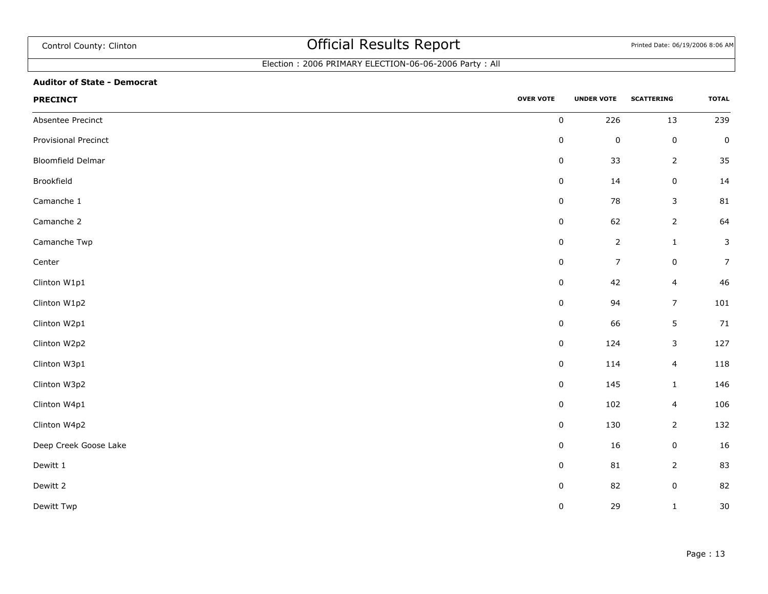## Election : 2006 PRIMARY ELECTION-06-06-2006 Party : All

#### **Auditor of State - Democrat**

| <b>PRECINCT</b>       | <b>OVER VOTE</b> | <b>UNDER VOTE</b> | <b>SCATTERING</b>       | <b>TOTAL</b>   |
|-----------------------|------------------|-------------------|-------------------------|----------------|
| Absentee Precinct     | $\pmb{0}$        | 226               | $13\,$                  | 239            |
| Provisional Precinct  | $\pmb{0}$        | $\pmb{0}$         | $\pmb{0}$               | $\pmb{0}$      |
| Bloomfield Delmar     | $\pmb{0}$        | 33                | $\mathbf{2}$            | 35             |
| Brookfield            | $\pmb{0}$        | 14                | $\pmb{0}$               | 14             |
| Camanche 1            | $\pmb{0}$        | 78                | $\mathsf 3$             | 81             |
| Camanche 2            | $\pmb{0}$        | 62                | $\overline{2}$          | 64             |
| Camanche Twp          | $\pmb{0}$        | $\mathbf 2$       | $\mathbf 1$             | $\mathsf 3$    |
| Center                | $\pmb{0}$        | $\boldsymbol{7}$  | $\pmb{0}$               | $\overline{7}$ |
| Clinton W1p1          | $\pmb{0}$        | 42                | $\overline{\mathbf{4}}$ | $46\,$         |
| Clinton W1p2          | $\pmb{0}$        | 94                | $\overline{7}$          | 101            |
| Clinton W2p1          | $\pmb{0}$        | 66                | 5                       | 71             |
| Clinton W2p2          | $\pmb{0}$        | 124               | $\mathsf 3$             | 127            |
| Clinton W3p1          | $\pmb{0}$        | 114               | $\overline{\mathbf{4}}$ | 118            |
| Clinton W3p2          | $\pmb{0}$        | 145               | $\mathbf 1$             | 146            |
| Clinton W4p1          | $\pmb{0}$        | 102               | $\overline{\mathbf{4}}$ | 106            |
| Clinton W4p2          | $\pmb{0}$        | 130               | $\overline{2}$          | 132            |
| Deep Creek Goose Lake | $\pmb{0}$        | 16                | $\pmb{0}$               | 16             |
| Dewitt 1              | $\pmb{0}$        | 81                | $\overline{2}$          | 83             |
| Dewitt 2              | $\pmb{0}$        | 82                | $\pmb{0}$               | 82             |
| Dewitt Twp            | $\pmb{0}$        | 29                | $\mathbf 1$             | $30\,$         |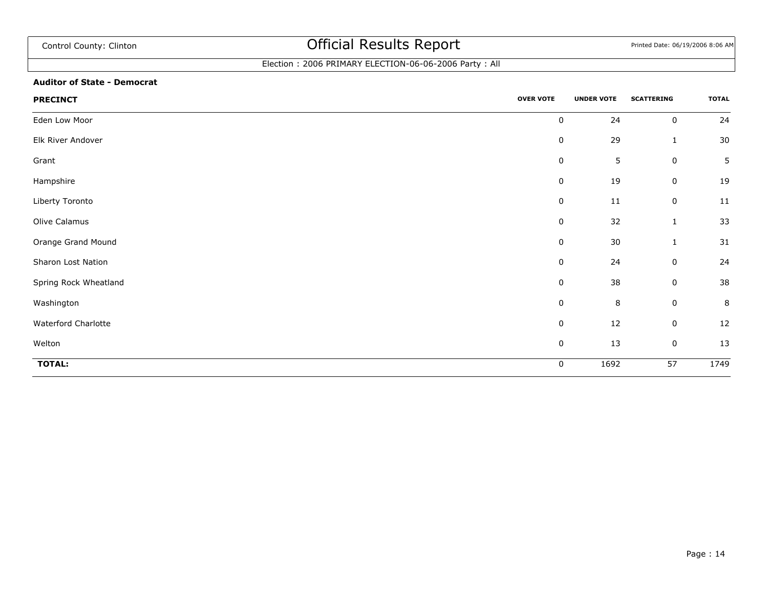## Election : 2006 PRIMARY ELECTION-06-06-2006 Party : All

#### **Auditor of State - Democrat**

| <b>PRECINCT</b>       | <b>OVER VOTE</b> | <b>UNDER VOTE</b> | <b>SCATTERING</b> | <b>TOTAL</b>   |
|-----------------------|------------------|-------------------|-------------------|----------------|
| Eden Low Moor         | $\mathbf 0$      | 24                | $\pmb{0}$         | 24             |
| Elk River Andover     | $\mathbf 0$      | 29                | $\mathbf{1}$      | $30\,$         |
| Grant                 | $\mathbf 0$      | 5                 | $\pmb{0}$         | $5\phantom{.}$ |
| Hampshire             | 0                | 19                | $\pmb{0}$         | 19             |
| Liberty Toronto       | 0                | 11                | $\pmb{0}$         | 11             |
| Olive Calamus         | 0                | 32                | 1                 | 33             |
| Orange Grand Mound    | $\mathbf 0$      | $30\,$            | $\mathbf 1$       | 31             |
| Sharon Lost Nation    | 0                | 24                | 0                 | 24             |
| Spring Rock Wheatland | 0                | 38                | 0                 | 38             |
| Washington            | $\mathbf 0$      | $\,8\,$           | $\pmb{0}$         | $\,8\,$        |
| Waterford Charlotte   | $\mathbf 0$      | 12                | $\pmb{0}$         | 12             |
| Welton                | $\mathbf 0$      | 13                | $\pmb{0}$         | 13             |
| <b>TOTAL:</b>         | 0                | 1692              | 57                | 1749           |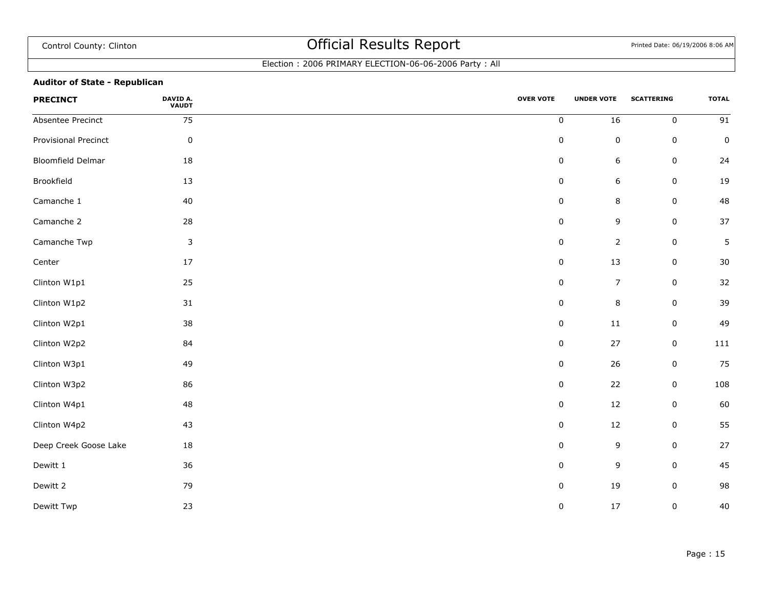### Election : 2006 PRIMARY ELECTION-06-06-2006 Party : All

### **Auditor of State - Republican**

| <b>PRECINCT</b>       | <b>DAVID A.<br/>VAUDT</b> | <b>OVER VOTE</b> | <b>UNDER VOTE</b> | <b>SCATTERING</b> | <b>TOTAL</b>    |
|-----------------------|---------------------------|------------------|-------------------|-------------------|-----------------|
| Absentee Precinct     | 75                        | $\pmb{0}$        | 16                | $\pmb{0}$         | $\overline{91}$ |
| Provisional Precinct  | $\pmb{0}$                 | $\pmb{0}$        | $\pmb{0}$         | 0                 | $\pmb{0}$       |
| Bloomfield Delmar     | 18                        | $\pmb{0}$        | 6                 | 0                 | 24              |
| Brookfield            | 13                        | $\pmb{0}$        | 6                 | $\pmb{0}$         | 19              |
| Camanche 1            | 40                        | $\pmb{0}$        | 8                 | 0                 | 48              |
| Camanche 2            | 28                        | $\pmb{0}$        | 9                 | $\pmb{0}$         | 37              |
| Camanche Twp          | $\mathsf 3$               | $\pmb{0}$        | $\overline{2}$    | 0                 | $\sqrt{5}$      |
| Center                | $17\,$                    | $\pmb{0}$        | 13                | $\pmb{0}$         | $30\,$          |
| Clinton W1p1          | $25\,$                    | $\pmb{0}$        | $\boldsymbol{7}$  | $\pmb{0}$         | $32\,$          |
| Clinton W1p2          | $31\,$                    | $\pmb{0}$        | 8                 | $\pmb{0}$         | 39              |
| Clinton W2p1          | 38                        | $\pmb{0}$        | 11                | 0                 | 49              |
| Clinton W2p2          | 84                        | $\pmb{0}$        | 27                | $\pmb{0}$         | $111\,$         |
| Clinton W3p1          | 49                        | $\pmb{0}$        | 26                | $\pmb{0}$         | 75              |
| Clinton W3p2          | 86                        | $\pmb{0}$        | 22                | $\pmb{0}$         | 108             |
| Clinton W4p1          | 48                        | $\pmb{0}$        | 12                | 0                 | 60              |
| Clinton W4p2          | 43                        | $\pmb{0}$        | 12                | 0                 | 55              |
| Deep Creek Goose Lake | 18                        | $\pmb{0}$        | 9                 | $\pmb{0}$         | 27              |
| Dewitt 1              | 36                        | $\pmb{0}$        | 9                 | $\pmb{0}$         | 45              |
| Dewitt 2              | 79                        | $\pmb{0}$        | 19                | 0                 | 98              |
| Dewitt Twp            | 23                        | $\pmb{0}$        | $17\,$            | $\pmb{0}$         | 40              |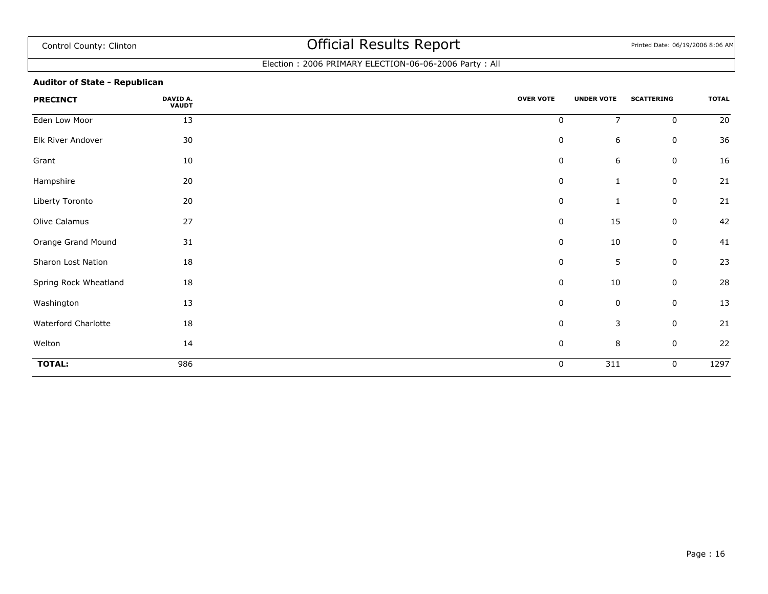### Election : 2006 PRIMARY ELECTION-06-06-2006 Party : All

### **Auditor of State - Republican**

| <b>PRECINCT</b>       | DAVID A.<br><b>VAUDT</b> | <b>OVER VOTE</b> | <b>UNDER VOTE</b> | <b>SCATTERING</b> | <b>TOTAL</b> |
|-----------------------|--------------------------|------------------|-------------------|-------------------|--------------|
| Eden Low Moor         | 13                       | $\mathsf 0$      | $\overline{7}$    | $\mathbf 0$       | 20           |
| Elk River Andover     | 30                       | 0                | 6                 | 0                 | 36           |
| Grant                 | 10                       | 0                | 6                 | 0                 | 16           |
| Hampshire             | 20                       | 0                | $\mathbf{1}$      | 0                 | 21           |
| Liberty Toronto       | 20                       | 0                | $\mathbf{1}$      | 0                 | 21           |
| Olive Calamus         | 27                       | 0                | 15                | 0                 | 42           |
| Orange Grand Mound    | 31                       | 0                | 10                | 0                 | 41           |
| Sharon Lost Nation    | 18                       | 0                | 5                 | $\mathbf 0$       | 23           |
| Spring Rock Wheatland | 18                       | 0                | 10                | 0                 | 28           |
| Washington            | 13                       | $\mathbf 0$      | $\mathbf 0$       | $\mathbf 0$       | 13           |
| Waterford Charlotte   | 18                       | 0                | $\mathsf 3$       | 0                 | 21           |
| Welton                | 14                       | 0                | 8                 | 0                 | 22           |
| <b>TOTAL:</b>         | 986                      | 0                | 311               | $\mathbf 0$       | 1297         |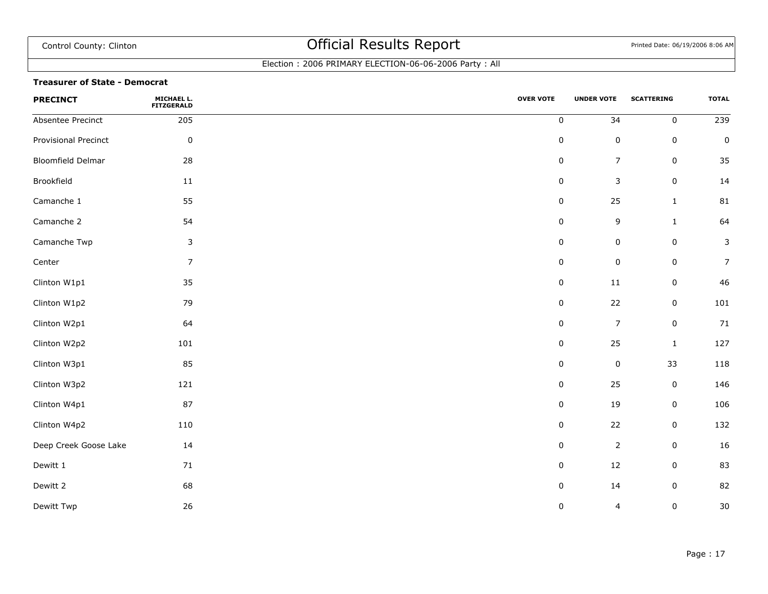### Election : 2006 PRIMARY ELECTION-06-06-2006 Party : All

#### **Treasurer of State - Democrat**

| <b>PRECINCT</b>       | <b>MICHAEL L.<br/>FITZGERALD</b> | <b>OVER VOTE</b> | <b>UNDER VOTE</b>       | <b>SCATTERING</b> | <b>TOTAL</b>    |
|-----------------------|----------------------------------|------------------|-------------------------|-------------------|-----------------|
| Absentee Precinct     | 205                              | $\pmb{0}$        | 34                      | $\mathbf 0$       | $\frac{1}{239}$ |
| Provisional Precinct  | $\pmb{0}$                        | $\pmb{0}$        | $\pmb{0}$               | $\mathsf 0$       | $\pmb{0}$       |
| Bloomfield Delmar     | 28                               | $\pmb{0}$        | $\boldsymbol{7}$        | $\pmb{0}$         | 35              |
| Brookfield            | 11                               | $\pmb{0}$        | $\mathsf 3$             | $\mathsf 0$       | 14              |
| Camanche 1            | 55                               | 0                | 25                      | $\mathbf{1}$      | 81              |
| Camanche 2            | 54                               | $\pmb{0}$        | 9                       | $\mathbf{1}$      | 64              |
| Camanche Twp          | 3                                | 0                | $\pmb{0}$               | $\pmb{0}$         | $\mathsf 3$     |
| Center                | $\overline{7}$                   | $\pmb{0}$        | $\pmb{0}$               | $\mathbf 0$       | $\overline{7}$  |
| Clinton W1p1          | 35                               | $\pmb{0}$        | $11\,$                  | $\mathsf 0$       | 46              |
| Clinton W1p2          | 79                               | $\pmb{0}$        | 22                      | $\mathsf 0$       | 101             |
| Clinton W2p1          | 64                               | 0                | $\overline{7}$          | 0                 | 71              |
| Clinton W2p2          | 101                              | $\pmb{0}$        | 25                      | $\mathbf{1}$      | 127             |
| Clinton W3p1          | 85                               | $\pmb{0}$        | $\pmb{0}$               | 33                | 118             |
| Clinton W3p2          | 121                              | $\pmb{0}$        | 25                      | $\pmb{0}$         | 146             |
| Clinton W4p1          | 87                               | 0                | 19                      | $\pmb{0}$         | 106             |
| Clinton W4p2          | 110                              | $\pmb{0}$        | 22                      | $\mathsf 0$       | 132             |
| Deep Creek Goose Lake | 14                               | $\pmb{0}$        | $\overline{2}$          | $\mathsf 0$       | 16              |
| Dewitt 1              | 71                               | $\pmb{0}$        | 12                      | $\mathsf 0$       | 83              |
| Dewitt 2              | 68                               | $\pmb{0}$        | 14                      | $\mathsf 0$       | 82              |
| Dewitt Twp            | 26                               | 0                | $\overline{\mathbf{4}}$ | 0                 | 30              |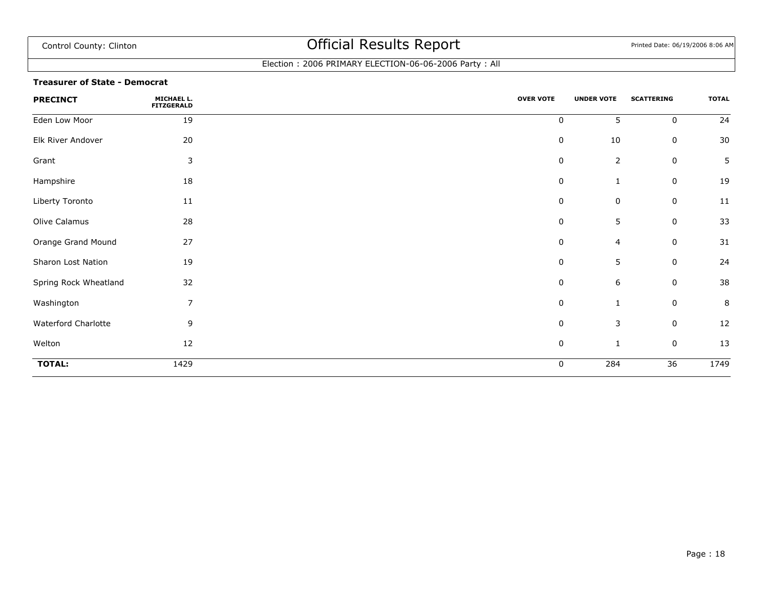### Election : 2006 PRIMARY ELECTION-06-06-2006 Party : All

#### **Treasurer of State - Democrat**

| <b>PRECINCT</b>       | MICHAEL L.<br><b>FITZGERALD</b> | <b>OVER VOTE</b> | <b>UNDER VOTE</b> | <b>SCATTERING</b> | <b>TOTAL</b> |
|-----------------------|---------------------------------|------------------|-------------------|-------------------|--------------|
| Eden Low Moor         | 19                              | 0                | 5                 | $\mathbf 0$       | 24           |
| Elk River Andover     | 20                              | $\pmb{0}$        | 10                | 0                 | 30           |
| Grant                 | 3                               | 0                | $\overline{2}$    | 0                 | 5            |
| Hampshire             | 18                              | $\pmb{0}$        | $\mathbf{1}$      | 0                 | 19           |
| Liberty Toronto       | 11                              | $\mathbf 0$      | 0                 | 0                 | 11           |
| Olive Calamus         | 28                              | $\mathbf 0$      | 5                 | 0                 | 33           |
| Orange Grand Mound    | 27                              | $\mathbf 0$      | 4                 | 0                 | 31           |
| Sharon Lost Nation    | 19                              | 0                | 5                 | 0                 | 24           |
| Spring Rock Wheatland | 32                              | $\mathbf 0$      | $\,$ 6 $\,$       | 0                 | 38           |
| Washington            | $\overline{7}$                  | $\pmb{0}$        | 1                 | $\mathbf 0$       | 8            |
| Waterford Charlotte   | 9                               | $\mathbf 0$      | 3                 | 0                 | 12           |
| Welton                | 12                              | $\mathbf 0$      | $\mathbf{1}$      | 0                 | 13           |
| <b>TOTAL:</b>         | 1429                            | $\mathbf 0$      | 284               | $\overline{36}$   | 1749         |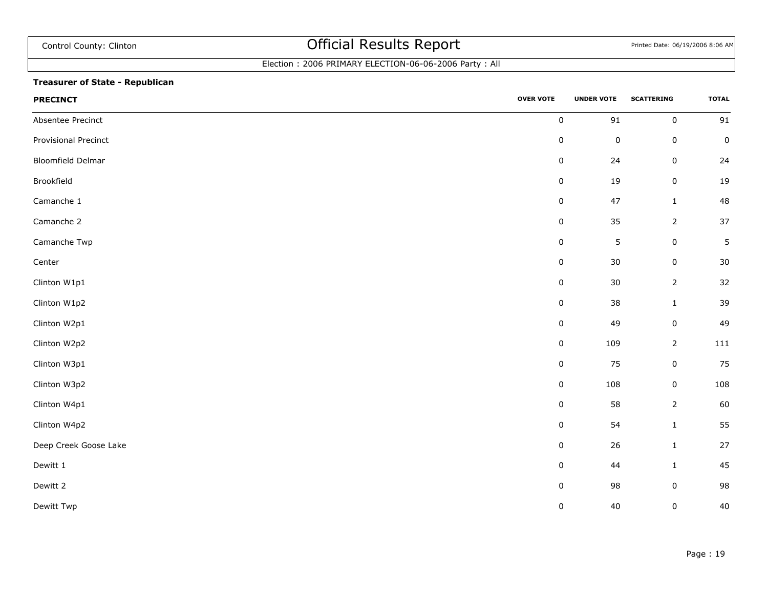## Election : 2006 PRIMARY ELECTION-06-06-2006 Party : All

### **Treasurer of State - Republican**

| <b>PRECINCT</b>       | <b>OVER VOTE</b> | <b>UNDER VOTE</b> | <b>SCATTERING</b> | <b>TOTAL</b> |
|-----------------------|------------------|-------------------|-------------------|--------------|
| Absentee Precinct     | $\pmb{0}$        | $\mathsf{91}$     | $\pmb{0}$         | 91           |
| Provisional Precinct  | $\pmb{0}$        | $\pmb{0}$         | $\mathbf 0$       | $\pmb{0}$    |
| Bloomfield Delmar     | $\pmb{0}$        | 24                | $\mathbf 0$       | 24           |
| Brookfield            | $\pmb{0}$        | 19                | $\pmb{0}$         | 19           |
| Camanche 1            | $\pmb{0}$        | 47                | $\,1\,$           | 48           |
| Camanche 2            | $\pmb{0}$        | 35                | $\overline{2}$    | $37\,$       |
| Camanche Twp          | $\pmb{0}$        | $\mathsf S$       | $\mathsf 0$       | 5            |
| Center                | $\pmb{0}$        | $30\,$            | $\pmb{0}$         | $30\,$       |
| Clinton W1p1          | $\pmb{0}$        | 30                | $\overline{2}$    | 32           |
| Clinton W1p2          | $\pmb{0}$        | 38                | $\,1\,$           | 39           |
| Clinton W2p1          | $\pmb{0}$        | 49                | $\mathbf 0$       | 49           |
| Clinton W2p2          | $\pmb{0}$        | 109               | $\overline{2}$    | 111          |
| Clinton W3p1          | $\pmb{0}$        | 75                | $\mathbf 0$       | 75           |
| Clinton W3p2          | $\pmb{0}$        | 108               | $\pmb{0}$         | 108          |
| Clinton W4p1          | $\pmb{0}$        | 58                | $\overline{2}$    | 60           |
| Clinton W4p2          | $\pmb{0}$        | 54                | $\,1\,$           | 55           |
| Deep Creek Goose Lake | $\pmb{0}$        | 26                | $\mathbf 1$       | 27           |
| Dewitt 1              | $\pmb{0}$        | 44                | $\mathbf 1$       | 45           |
| Dewitt 2              | $\pmb{0}$        | 98                | $\pmb{0}$         | 98           |
| Dewitt Twp            | 0                | 40                | $\pmb{0}$         | 40           |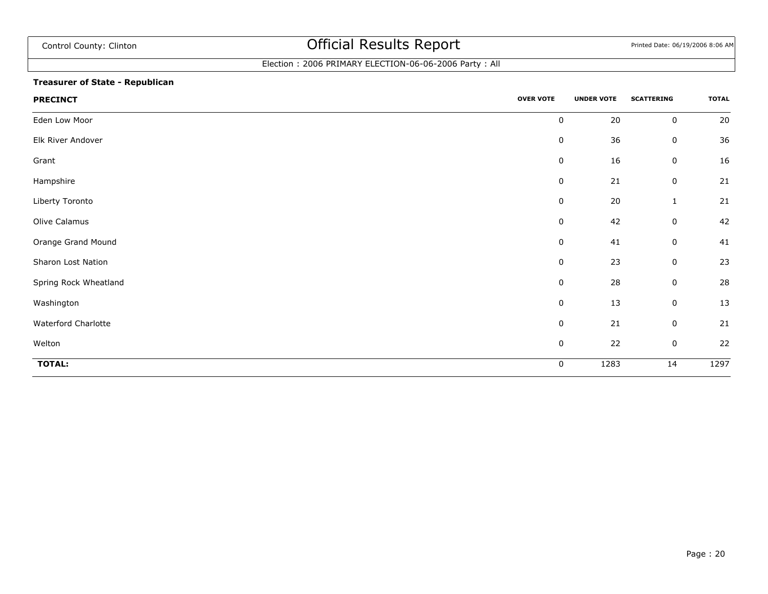### Election : 2006 PRIMARY ELECTION-06-06-2006 Party : All

### **Treasurer of State - Republican**

| <b>PRECINCT</b>       | <b>OVER VOTE</b> | <b>UNDER VOTE</b> | <b>SCATTERING</b> | <b>TOTAL</b> |
|-----------------------|------------------|-------------------|-------------------|--------------|
| Eden Low Moor         | 0                | 20                | $\pmb{0}$         | $20\,$       |
| Elk River Andover     | $\mathbf 0$      | 36                | 0                 | 36           |
| Grant                 | $\pmb{0}$        | 16                | 0                 | 16           |
| Hampshire             | $\pmb{0}$        | 21                | $\pmb{0}$         | 21           |
| Liberty Toronto       | $\pmb{0}$        | $20\,$            | $\mathbf{1}$      | 21           |
| Olive Calamus         | 0                | 42                | $\pmb{0}$         | 42           |
| Orange Grand Mound    | $\pmb{0}$        | 41                | $\pmb{0}$         | 41           |
| Sharon Lost Nation    | $\mathbf 0$      | 23                | 0                 | 23           |
| Spring Rock Wheatland | $\pmb{0}$        | 28                | $\pmb{0}$         | 28           |
| Washington            | $\mathbf 0$      | 13                | 0                 | 13           |
| Waterford Charlotte   | $\pmb{0}$        | 21                | 0                 | 21           |
| Welton                | $\pmb{0}$        | 22                | 0                 | 22           |
| <b>TOTAL:</b>         | $\mathbf 0$      | 1283              | 14                | 1297         |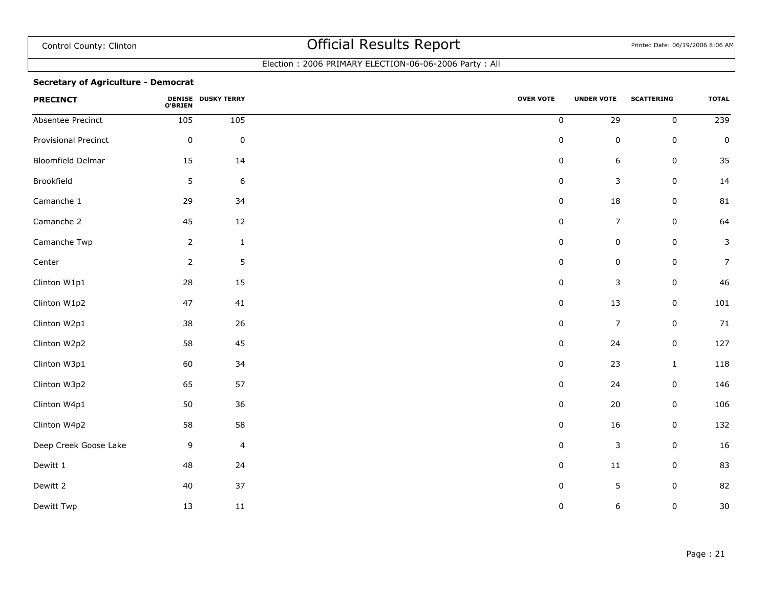### Election : 2006 PRIMARY ELECTION-06-06-2006 Party : All

### **Secretary of Agriculture - Democrat**

| <b>PRECINCT</b>          | O'BRIEN        | <b>DENISE DUSKY TERRY</b> | <b>OVER VOTE</b> | <b>UNDER VOTE</b> | <b>SCATTERING</b> | <b>TOTAL</b>     |
|--------------------------|----------------|---------------------------|------------------|-------------------|-------------------|------------------|
| Absentee Precinct        | 105            | 105                       | $\pmb{0}$        | 29                | $\mathbf 0$       | $\overline{239}$ |
| Provisional Precinct     | $\pmb{0}$      | $\pmb{0}$                 | $\pmb{0}$        | $\pmb{0}$         | $\pmb{0}$         | $\pmb{0}$        |
| <b>Bloomfield Delmar</b> | 15             | 14                        | $\pmb{0}$        | 6                 | $\pmb{0}$         | 35               |
| Brookfield               | 5              | $\boldsymbol{6}$          | $\pmb{0}$        | 3                 | $\pmb{0}$         | 14               |
| Camanche 1               | 29             | 34                        | $\pmb{0}$        | 18                | 0                 | 81               |
| Camanche 2               | 45             | 12                        | $\pmb{0}$        | $\overline{7}$    | 0                 | 64               |
| Camanche Twp             | $\overline{2}$ | $\mathbf 1$               | $\pmb{0}$        | $\pmb{0}$         | $\pmb{0}$         | $\mathsf 3$      |
| Center                   | $\overline{2}$ | $\sqrt{5}$                | 0                | 0                 | 0                 | $\overline{7}$   |
| Clinton W1p1             | 28             | 15                        | $\pmb{0}$        | 3                 | $\pmb{0}$         | 46               |
| Clinton W1p2             | 47             | 41                        | $\pmb{0}$        | 13                | 0                 | 101              |
| Clinton W2p1             | 38             | 26                        | $\pmb{0}$        | $\overline{7}$    | $\pmb{0}$         | 71               |
| Clinton W2p2             | 58             | 45                        | $\pmb{0}$        | 24                | $\pmb{0}$         | 127              |
| Clinton W3p1             | 60             | 34                        | 0                | 23                | $\mathbf{1}$      | 118              |
| Clinton W3p2             | 65             | 57                        | $\pmb{0}$        | 24                | $\pmb{0}$         | 146              |
| Clinton W4p1             | 50             | 36                        | 0                | 20                | $\pmb{0}$         | 106              |
| Clinton W4p2             | 58             | 58                        | 0                | $16\,$            | 0                 | 132              |
| Deep Creek Goose Lake    | 9              | $\overline{4}$            | $\pmb{0}$        | $\mathsf 3$       | $\pmb{0}$         | 16               |
| Dewitt 1                 | 48             | 24                        | $\pmb{0}$        | $11\,$            | 0                 | 83               |
| Dewitt 2                 | 40             | 37                        | $\pmb{0}$        | 5                 | $\pmb{0}$         | 82               |
| Dewitt Twp               | 13             | 11                        | $\pmb{0}$        | 6                 | $\pmb{0}$         | $30\,$           |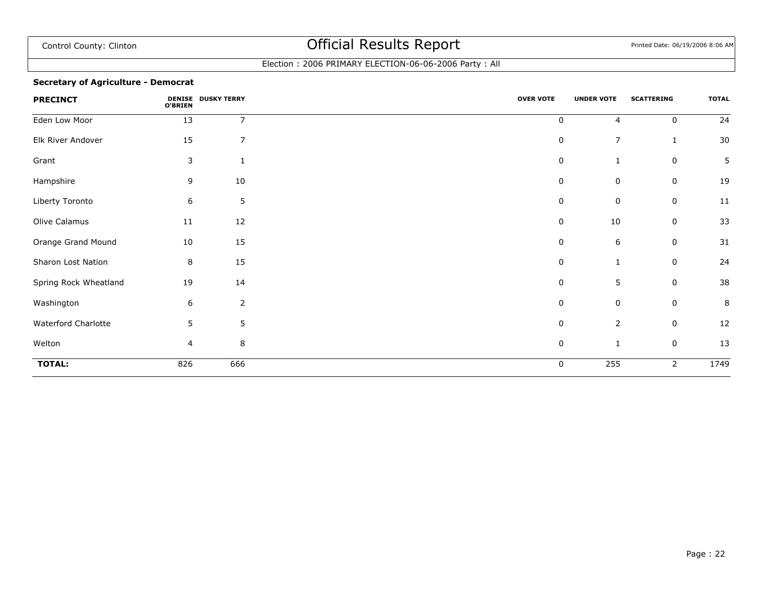### Election : 2006 PRIMARY ELECTION-06-06-2006 Party : All

### **Secretary of Agriculture - Democrat**

| <b>PRECINCT</b>       | <b>O'BRIEN</b> | <b>DENISE DUSKY TERRY</b> | <b>OVER VOTE</b> | <b>UNDER VOTE</b> | <b>SCATTERING</b> | <b>TOTAL</b> |
|-----------------------|----------------|---------------------------|------------------|-------------------|-------------------|--------------|
| Eden Low Moor         | 13             | $\overline{7}$            | $\pmb{0}$        | $\overline{4}$    | $\mathbf 0$       | 24           |
| Elk River Andover     | 15             | $\overline{7}$            | $\pmb{0}$        | $\overline{7}$    | $\mathbf{1}$      | 30           |
| Grant                 | 3              | $\mathbf{1}$              | 0                | 1                 | $\mathbf 0$       | 5            |
| Hampshire             | 9              | 10                        | $\pmb{0}$        | $\pmb{0}$         | 0                 | 19           |
| Liberty Toronto       | 6              | $\sqrt{5}$                | 0                | $\mathbf 0$       | $\mathbf 0$       | 11           |
| Olive Calamus         | 11             | 12                        | 0                | 10                | $\mathbf 0$       | 33           |
| Orange Grand Mound    | 10             | 15                        | 0                | $\boldsymbol{6}$  | $\mathbf 0$       | 31           |
| Sharon Lost Nation    | 8              | 15                        | 0                | 1                 | $\mathbf 0$       | 24           |
| Spring Rock Wheatland | 19             | 14                        | 0                | 5                 | $\mathbf 0$       | 38           |
| Washington            | 6              | $\overline{2}$            | 0                | $\mathbf 0$       | $\mathbf 0$       | 8            |
| Waterford Charlotte   | 5              | $5\phantom{.}$            | 0                | $\overline{2}$    | 0                 | 12           |
| Welton                | 4              | $\, 8$                    | $\pmb{0}$        | 1                 | $\mathbf 0$       | 13           |
| <b>TOTAL:</b>         | 826            | 666                       | 0                | 255               | 2                 | 1749         |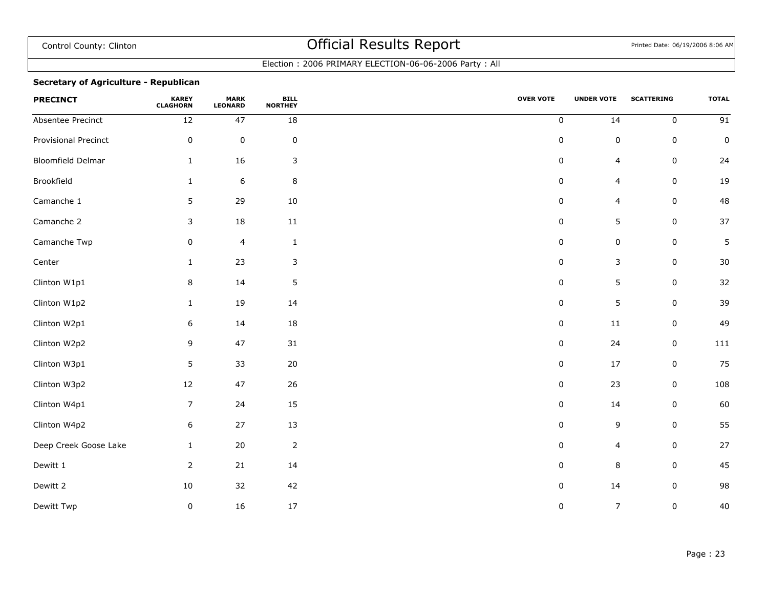### Election : 2006 PRIMARY ELECTION-06-06-2006 Party : All

### **Secretary of Agriculture - Republican**

| <b>PRECINCT</b>       | <b>KAREY</b><br><b>CLAGHORN</b> | <b>MARK</b><br><b>LEONARD</b> | <b>BILL</b><br><b>NORTHEY</b> | <b>OVER VOTE</b> | <b>UNDER VOTE</b>       | <b>SCATTERING</b> | <b>TOTAL</b>    |
|-----------------------|---------------------------------|-------------------------------|-------------------------------|------------------|-------------------------|-------------------|-----------------|
| Absentee Precinct     | 12                              | 47                            | 18                            | $\pmb{0}$        | 14                      | $\mathbf 0$       | $\overline{91}$ |
| Provisional Precinct  | $\pmb{0}$                       | $\pmb{0}$                     | $\mathbf 0$                   | 0                | $\pmb{0}$               | $\mathbf 0$       | $\mathsf 0$     |
| Bloomfield Delmar     | $\mathbf{1}$                    | 16                            | 3                             | $\pmb{0}$        | $\overline{\mathbf{4}}$ | $\mathsf 0$       | 24              |
| Brookfield            | $\mathbf{1}$                    | $\boldsymbol{6}$              | 8                             | 0                | $\overline{4}$          | $\mathsf 0$       | 19              |
| Camanche 1            | 5                               | 29                            | 10                            | $\pmb{0}$        | $\overline{4}$          | $\mathbf 0$       | 48              |
| Camanche 2            | 3                               | 18                            | $11\,$                        | 0                | 5                       | $\mathsf 0$       | 37              |
| Camanche Twp          | 0                               | $\overline{4}$                | $\mathbf{1}$                  | 0                | $\pmb{0}$               | $\mathsf 0$       | 5               |
| Center                | $\mathbf{1}$                    | 23                            | 3                             | 0                | $\mathsf 3$             | $\mathsf 0$       | 30              |
| Clinton W1p1          | 8                               | 14                            | $\mathsf S$                   | $\pmb{0}$        | 5                       | $\mathsf 0$       | 32              |
| Clinton W1p2          | $\mathbf{1}$                    | 19                            | 14                            | $\pmb{0}$        | $\overline{5}$          | $\pmb{0}$         | 39              |
| Clinton W2p1          | 6                               | 14                            | 18                            | $\pmb{0}$        | $11\,$                  | $\mathsf 0$       | 49              |
| Clinton W2p2          | 9                               | 47                            | 31                            | $\pmb{0}$        | 24                      | $\mathsf 0$       | 111             |
| Clinton W3p1          | 5                               | 33                            | $20\,$                        | $\pmb{0}$        | 17                      | $\mathbf 0$       | 75              |
| Clinton W3p2          | 12                              | 47                            | 26                            | $\pmb{0}$        | 23                      | $\mathsf 0$       | 108             |
| Clinton W4p1          | $\overline{7}$                  | 24                            | 15                            | $\pmb{0}$        | 14                      | $\mathbf 0$       | 60              |
| Clinton W4p2          | 6                               | $27$                          | 13                            | $\pmb{0}$        | 9                       | $\mathbf 0$       | 55              |
| Deep Creek Goose Lake | $\mathbf{1}$                    | $20\,$                        | $\mathsf{2}$                  | $\pmb{0}$        | $\overline{4}$          | $\mathsf 0$       | 27              |
| Dewitt 1              | $\overline{2}$                  | 21                            | 14                            | 0                | 8                       | $\mathbf 0$       | 45              |
| Dewitt 2              | 10                              | 32                            | 42                            | $\pmb{0}$        | $14\,$                  | $\mathsf 0$       | 98              |
| Dewitt Twp            | 0                               | 16                            | $17\,$                        | 0                | $\overline{7}$          | 0                 | 40              |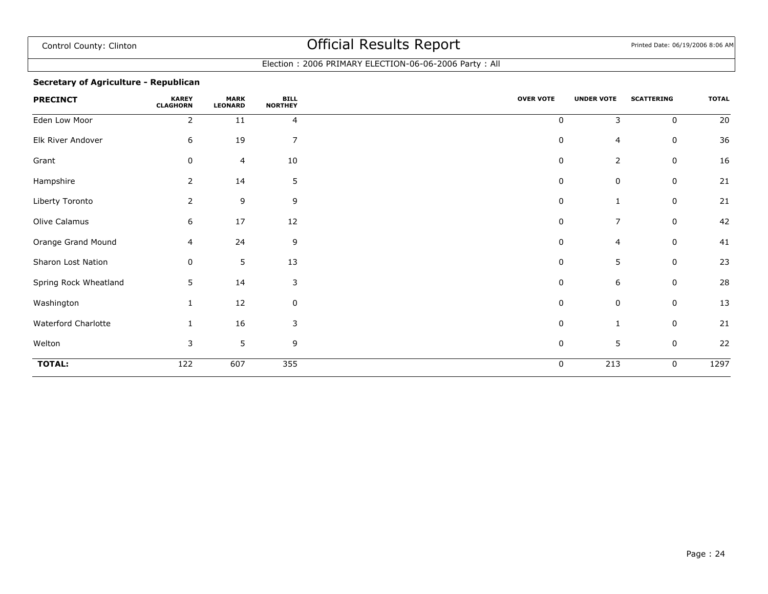### Election : 2006 PRIMARY ELECTION-06-06-2006 Party : All

### **Secretary of Agriculture - Republican**

| <b>PRECINCT</b>       | <b>KAREY</b><br><b>CLAGHORN</b> | <b>MARK</b><br><b>LEONARD</b> | <b>BILL</b><br><b>NORTHEY</b> | <b>OVER VOTE</b> | <b>UNDER VOTE</b> | <b>SCATTERING</b> | <b>TOTAL</b> |
|-----------------------|---------------------------------|-------------------------------|-------------------------------|------------------|-------------------|-------------------|--------------|
| Eden Low Moor         | 2                               | 11                            | 4                             | 0                | 3                 | $\mathbf 0$       | 20           |
| Elk River Andover     | 6                               | 19                            | 7                             | $\pmb{0}$        | 4                 | 0                 | 36           |
| Grant                 | 0                               | 4                             | 10                            | 0                | $\overline{2}$    | 0                 | 16           |
| Hampshire             | 2                               | 14                            | 5                             | 0                | 0                 | $\mathbf 0$       | 21           |
| Liberty Toronto       | $\overline{2}$                  | 9                             | 9                             | 0                | 1                 | $\mathbf 0$       | 21           |
| Olive Calamus         | 6                               | 17                            | 12                            | 0                | $\overline{7}$    | $\mathbf 0$       | 42           |
| Orange Grand Mound    | 4                               | 24                            | 9                             | 0                | 4                 | 0                 | 41           |
| Sharon Lost Nation    | 0                               | 5                             | 13                            | $\pmb{0}$        | 5                 | $\mathbf 0$       | 23           |
| Spring Rock Wheatland | 5                               | 14                            | 3                             | 0                | 6                 | $\mathbf 0$       | 28           |
| Washington            |                                 | 12                            | 0                             | 0                | $\mathbf 0$       | $\mathbf 0$       | 13           |
| Waterford Charlotte   |                                 | 16                            | 3                             | 0                | $\mathbf{1}$      | $\mathbf 0$       | 21           |
| Welton                | 3                               | 5                             | 9                             | 0                | 5                 | $\mathbf 0$       | 22           |
| <b>TOTAL:</b>         | 122                             | 607                           | $\frac{1}{355}$               | 0                | 213               | 0                 | 1297         |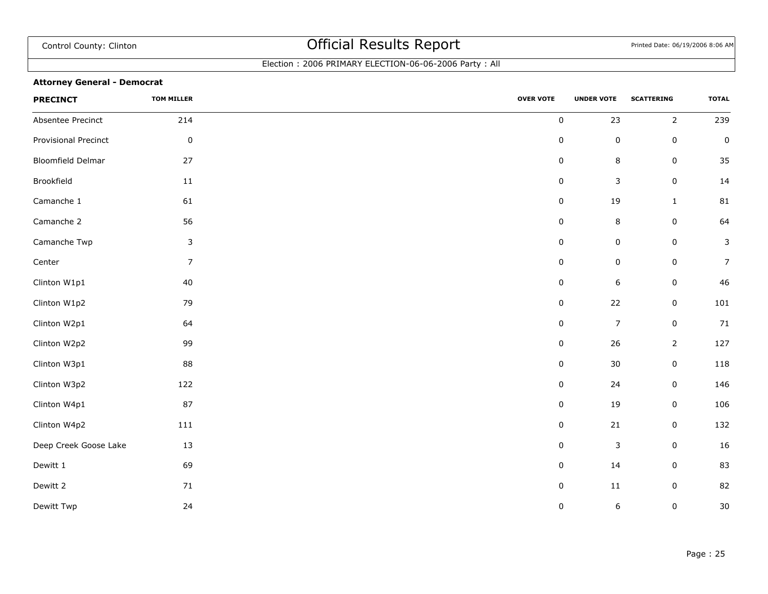### Election : 2006 PRIMARY ELECTION-06-06-2006 Party : All

### **Attorney General - Democrat**

| <b>PRECINCT</b>          | <b>TOM MILLER</b> | <b>OVER VOTE</b> | <b>UNDER VOTE</b> | <b>SCATTERING</b> | <b>TOTAL</b>   |
|--------------------------|-------------------|------------------|-------------------|-------------------|----------------|
| Absentee Precinct        | 214               | $\pmb{0}$        | 23                | $\overline{2}$    | 239            |
| Provisional Precinct     | $\pmb{0}$         | $\pmb{0}$        | $\pmb{0}$         | $\mathsf 0$       | $\pmb{0}$      |
| <b>Bloomfield Delmar</b> | 27                | $\pmb{0}$        | $\,8\,$           | $\mathsf 0$       | 35             |
| Brookfield               | $11\,$            | $\pmb{0}$        | $\mathsf 3$       | $\pmb{0}$         | 14             |
| Camanche 1               | 61                | $\pmb{0}$        | 19                | $\mathbf{1}$      | 81             |
| Camanche 2               | 56                | $\pmb{0}$        | $\,$ 8 $\,$       | $\mathsf 0$       | 64             |
| Camanche Twp             | $\mathsf{3}$      | $\pmb{0}$        | $\pmb{0}$         | $\mathsf 0$       | 3              |
| Center                   | $\overline{7}$    | 0                | $\pmb{0}$         | $\mathsf 0$       | $\overline{7}$ |
| Clinton W1p1             | $40\,$            | $\pmb{0}$        | $\boldsymbol{6}$  | $\pmb{0}$         | 46             |
| Clinton W1p2             | 79                | $\pmb{0}$        | 22                | $\pmb{0}$         | 101            |
| Clinton W2p1             | 64                | $\pmb{0}$        | $\overline{7}$    | $\mathsf 0$       | $71\,$         |
| Clinton W2p2             | 99                | $\pmb{0}$        | 26                | $\overline{2}$    | 127            |
| Clinton W3p1             | 88                | 0                | $30\,$            | $\mathsf 0$       | 118            |
| Clinton W3p2             | 122               | 0                | 24                | $\pmb{0}$         | 146            |
| Clinton W4p1             | 87                | $\pmb{0}$        | 19                | $\mathsf 0$       | 106            |
| Clinton W4p2             | 111               | $\pmb{0}$        | $21\,$            | $\mathsf 0$       | 132            |
| Deep Creek Goose Lake    | 13                | $\pmb{0}$        | $\mathsf 3$       | $\mathsf 0$       | 16             |
| Dewitt 1                 | 69                | $\pmb{0}$        | 14                | $\mathsf 0$       | 83             |
| Dewitt 2                 | $71\,$            | $\pmb{0}$        | $11\,$            | $\mathsf 0$       | 82             |
| Dewitt Twp               | 24                | $\pmb{0}$        | $\boldsymbol{6}$  | 0                 | 30             |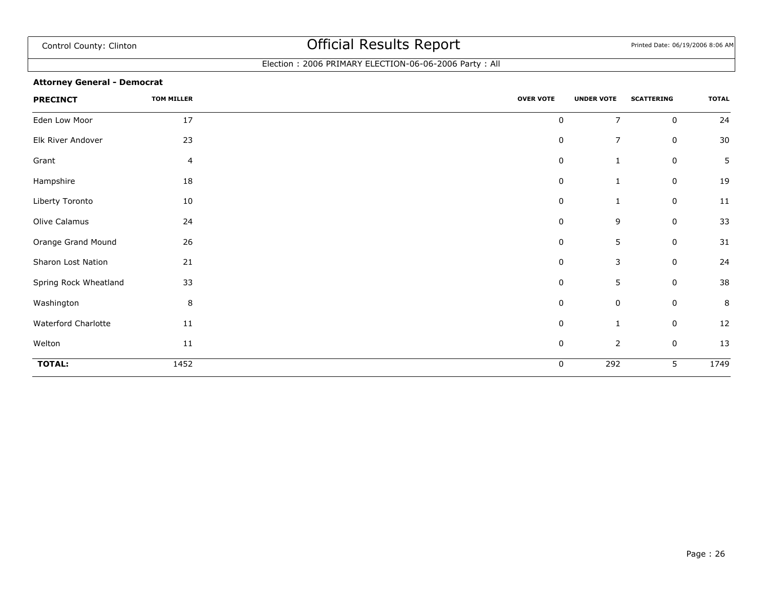### Election : 2006 PRIMARY ELECTION-06-06-2006 Party : All

### **Attorney General - Democrat**

| <b>PRECINCT</b>       | <b>TOM MILLER</b> | <b>OVER VOTE</b> | <b>UNDER VOTE</b> | <b>SCATTERING</b> | <b>TOTAL</b> |
|-----------------------|-------------------|------------------|-------------------|-------------------|--------------|
| Eden Low Moor         | 17                | $\pmb{0}$        | $\overline{7}$    | $\mathbf 0$       | 24           |
| Elk River Andover     | 23                | $\pmb{0}$        | $\overline{7}$    | $\mathbf 0$       | 30           |
| Grant                 | 4                 | $\pmb{0}$        | $\mathbf{1}$      | 0                 | 5            |
| Hampshire             | 18                | 0                | 1                 | 0                 | 19           |
| Liberty Toronto       | 10                | 0                | 1                 | 0                 | 11           |
| Olive Calamus         | 24                | $\pmb{0}$        | 9                 | 0                 | 33           |
| Orange Grand Mound    | 26                | $\pmb{0}$        | 5                 | 0                 | 31           |
| Sharon Lost Nation    | 21                | $\pmb{0}$        | 3                 | $\mathbf 0$       | 24           |
| Spring Rock Wheatland | 33                | 0                | 5                 | $\mathbf 0$       | 38           |
| Washington            | 8                 | $\pmb{0}$        | $\pmb{0}$         | $\mathbf 0$       | $\bf 8$      |
| Waterford Charlotte   | 11                | 0                | 1                 | $\mathbf 0$       | 12           |
| Welton                | $11\,$            | $\pmb{0}$        | $\mathbf 2$       | $\mathbf 0$       | 13           |
| <b>TOTAL:</b>         | 1452              | 0                | 292               | 5                 | 1749         |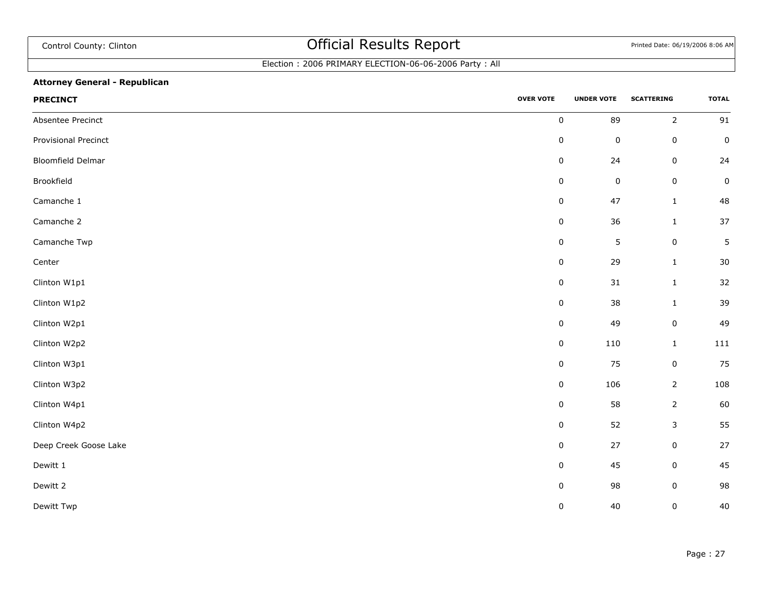## Election : 2006 PRIMARY ELECTION-06-06-2006 Party : All

### **Attorney General - Republican**

| <b>PRECINCT</b>          | <b>OVER VOTE</b> | <b>UNDER VOTE</b> | <b>SCATTERING</b> | <b>TOTAL</b> |
|--------------------------|------------------|-------------------|-------------------|--------------|
| Absentee Precinct        | $\pmb{0}$        | 89                | $\overline{2}$    | 91           |
| Provisional Precinct     | $\pmb{0}$        | $\pmb{0}$         | $\mathbf 0$       | $\pmb{0}$    |
| <b>Bloomfield Delmar</b> | $\pmb{0}$        | 24                | $\mathsf 0$       | 24           |
| Brookfield               | $\pmb{0}$        | $\pmb{0}$         | $\mathbf 0$       | $\pmb{0}$    |
| Camanche 1               | $\pmb{0}$        | 47                | $\mathbf{1}$      | 48           |
| Camanche 2               | $\pmb{0}$        | $36\,$            | $\mathbf 1$       | $37\,$       |
| Camanche Twp             | $\pmb{0}$        | $\mathsf S$       | $\mathbf 0$       | 5            |
| Center                   | $\pmb{0}$        | 29                | $\mathbf{1}$      | $30\,$       |
| Clinton W1p1             | $\pmb{0}$        | $31\,$            | $\mathbf{1}$      | 32           |
| Clinton W1p2             | $\pmb{0}$        | 38                | $\mathbf{1}$      | 39           |
| Clinton W2p1             | $\pmb{0}$        | 49                | $\mathsf 0$       | 49           |
| Clinton W2p2             | $\pmb{0}$        | 110               | $\mathbf 1$       | 111          |
| Clinton W3p1             | $\pmb{0}$        | 75                | $\mathbf 0$       | 75           |
| Clinton W3p2             | $\pmb{0}$        | 106               | $\overline{2}$    | 108          |
| Clinton W4p1             | $\pmb{0}$        | 58                | $\overline{2}$    | 60           |
| Clinton W4p2             | $\pmb{0}$        | 52                | $\mathsf{3}$      | 55           |
| Deep Creek Goose Lake    | $\pmb{0}$        | 27                | $\pmb{0}$         | $27$         |
| Dewitt 1                 | $\pmb{0}$        | 45                | $\mathbf 0$       | 45           |
| Dewitt 2                 | $\pmb{0}$        | 98                | $\pmb{0}$         | 98           |
| Dewitt Twp               | $\pmb{0}$        | 40                | $\pmb{0}$         | 40           |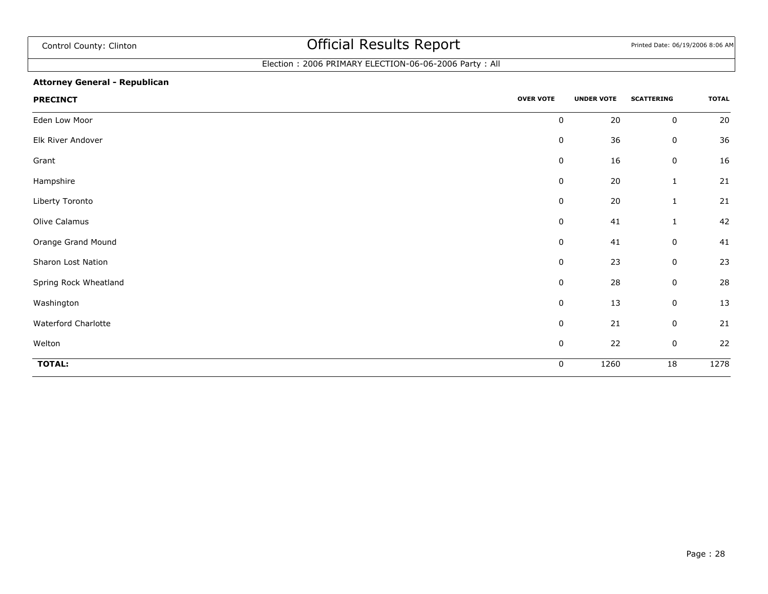## Election : 2006 PRIMARY ELECTION-06-06-2006 Party : All

### **Attorney General - Republican**

| <b>PRECINCT</b>       | <b>OVER VOTE</b> | <b>UNDER VOTE</b> | <b>SCATTERING</b> | <b>TOTAL</b> |
|-----------------------|------------------|-------------------|-------------------|--------------|
| Eden Low Moor         | $\pmb{0}$        | 20                | $\pmb{0}$         | 20           |
| Elk River Andover     | $\pmb{0}$        | 36                | $\pmb{0}$         | 36           |
| Grant                 | $\pmb{0}$        | 16                | $\pmb{0}$         | 16           |
| Hampshire             | $\mathbf 0$      | 20                | $\mathbf{1}$      | 21           |
| Liberty Toronto       | $\mathbf 0$      | 20                | 1                 | 21           |
| Olive Calamus         | $\mathbf 0$      | 41                | 1                 | 42           |
| Orange Grand Mound    | $\pmb{0}$        | 41                | $\pmb{0}$         | 41           |
| Sharon Lost Nation    | $\mathbf 0$      | 23                | 0                 | 23           |
| Spring Rock Wheatland | $\pmb{0}$        | 28                | $\pmb{0}$         | 28           |
| Washington            | $\pmb{0}$        | 13                | $\pmb{0}$         | 13           |
| Waterford Charlotte   | $\pmb{0}$        | 21                | $\pmb{0}$         | 21           |
| Welton                | $\pmb{0}$        | 22                | $\pmb{0}$         | 22           |
| <b>TOTAL:</b>         | 0                | 1260              | 18                | 1278         |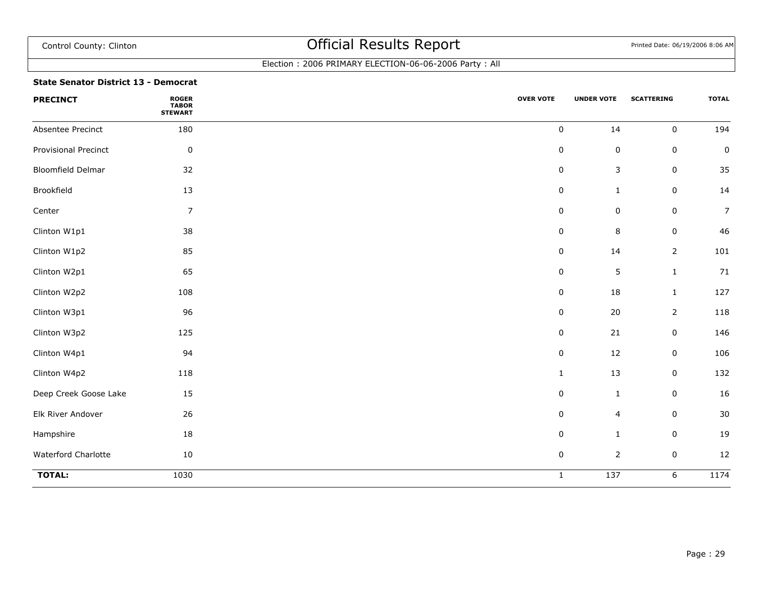### Election : 2006 PRIMARY ELECTION-06-06-2006 Party : All

### **State Senator District 13 - Democrat**

| <b>PRECINCT</b>             | <b>ROGER</b><br>TABOR<br>STEWART | <b>OVER VOTE</b> | <b>UNDER VOTE</b> | <b>SCATTERING</b> | <b>TOTAL</b>   |
|-----------------------------|----------------------------------|------------------|-------------------|-------------------|----------------|
| Absentee Precinct           | 180                              | $\mathbf 0$      | 14                | $\mathbf 0$       | 194            |
| <b>Provisional Precinct</b> | $\pmb{0}$                        | $\pmb{0}$        | $\pmb{0}$         | $\pmb{0}$         | $\pmb{0}$      |
| <b>Bloomfield Delmar</b>    | 32                               | 0                | 3                 | $\pmb{0}$         | 35             |
| Brookfield                  | 13                               | 0                | $\mathbf{1}$      | $\boldsymbol{0}$  | 14             |
| Center                      | $\overline{7}$                   | $\mathbf 0$      | 0                 | $\mathsf 0$       | $\overline{7}$ |
| Clinton W1p1                | 38                               | 0                | $\, 8$            | $\pmb{0}$         | 46             |
| Clinton W1p2                | 85                               | 0                | 14                | $\overline{2}$    | 101            |
| Clinton W2p1                | 65                               | $\pmb{0}$        | 5                 | $\mathbf{1}$      | 71             |
| Clinton W2p2                | 108                              | $\mathbf 0$      | 18                | $\mathbf{1}$      | 127            |
| Clinton W3p1                | 96                               | $\pmb{0}$        | 20                | $\overline{2}$    | 118            |
| Clinton W3p2                | 125                              | 0                | 21                | 0                 | 146            |
| Clinton W4p1                | 94                               | $\pmb{0}$        | 12                | $\pmb{0}$         | 106            |
| Clinton W4p2                | 118                              | $\mathbf{1}$     | 13                | $\pmb{0}$         | 132            |
| Deep Creek Goose Lake       | 15                               | $\pmb{0}$        | $\mathbf{1}$      | $\pmb{0}$         | 16             |
| Elk River Andover           | 26                               | $\pmb{0}$        | 4                 | $\pmb{0}$         | $30\,$         |
| Hampshire                   | 18                               | $\pmb{0}$        | $\mathbf{1}$      | $\pmb{0}$         | 19             |
| Waterford Charlotte         | $10\,$                           | $\pmb{0}$        | $\overline{2}$    | $\pmb{0}$         | 12             |
| <b>TOTAL:</b>               | 1030                             | $\mathbf 1$      | $\overline{137}$  | 6                 | 1174           |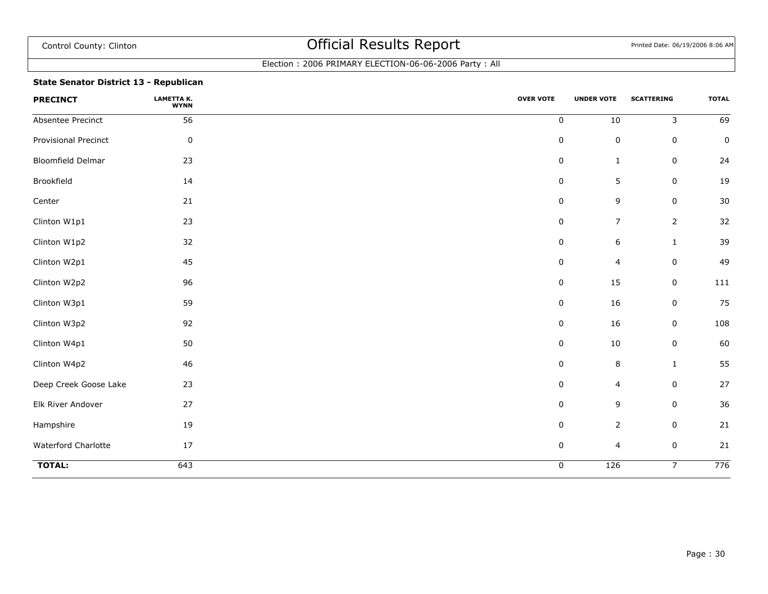### Election : 2006 PRIMARY ELECTION-06-06-2006 Party : All

### **State Senator District 13 - Republican**

| <b>PRECINCT</b>       | LAMETTA K.<br><b>WYNN</b> | <b>OVER VOTE</b> | <b>UNDER VOTE</b>       | <b>SCATTERING</b> | <b>TOTAL</b>    |
|-----------------------|---------------------------|------------------|-------------------------|-------------------|-----------------|
| Absentee Precinct     | 56                        | $\mathbf 0$      | $10\,$                  | 3                 | $\overline{69}$ |
| Provisional Precinct  | 0                         | $\pmb{0}$        | $\pmb{0}$               | $\mathbf 0$       | 0               |
| Bloomfield Delmar     | 23                        | $\pmb{0}$        | $\mathbf{1}$            | $\mathbf 0$       | 24              |
| Brookfield            | 14                        | $\pmb{0}$        | 5                       | $\mathbf 0$       | $19\,$          |
| Center                | 21                        | $\pmb{0}$        | 9                       | $\mathbf 0$       | 30              |
| Clinton W1p1          | 23                        | $\pmb{0}$        | $\overline{7}$          | $\overline{2}$    | 32              |
| Clinton W1p2          | 32                        | $\pmb{0}$        | $\boldsymbol{6}$        | $\mathbf{1}$      | 39              |
| Clinton W2p1          | 45                        | $\pmb{0}$        | $\overline{4}$          | $\mathbf 0$       | 49              |
| Clinton W2p2          | 96                        | $\pmb{0}$        | 15                      | $\mathbf 0$       | 111             |
| Clinton W3p1          | 59                        | $\pmb{0}$        | 16                      | $\mathbf 0$       | 75              |
| Clinton W3p2          | 92                        | $\pmb{0}$        | 16                      | $\mathbf 0$       | 108             |
| Clinton W4p1          | 50                        | $\pmb{0}$        | $10\,$                  | $\mathbf 0$       | 60              |
| Clinton W4p2          | 46                        | $\pmb{0}$        | $\, 8$                  | $\mathbf{1}$      | 55              |
| Deep Creek Goose Lake | 23                        | $\pmb{0}$        | $\overline{\mathbf{4}}$ | $\mathbf 0$       | 27              |
| Elk River Andover     | 27                        | 0                | 9                       | $\mathbf 0$       | 36              |
| Hampshire             | 19                        | $\pmb{0}$        | $\overline{2}$          | $\mathbf 0$       | 21              |
| Waterford Charlotte   | 17                        | $\pmb{0}$        | 4                       | $\mathbf 0$       | 21              |
| <b>TOTAL:</b>         | 643                       | $\pmb{0}$        | 126                     | $\overline{7}$    | 776             |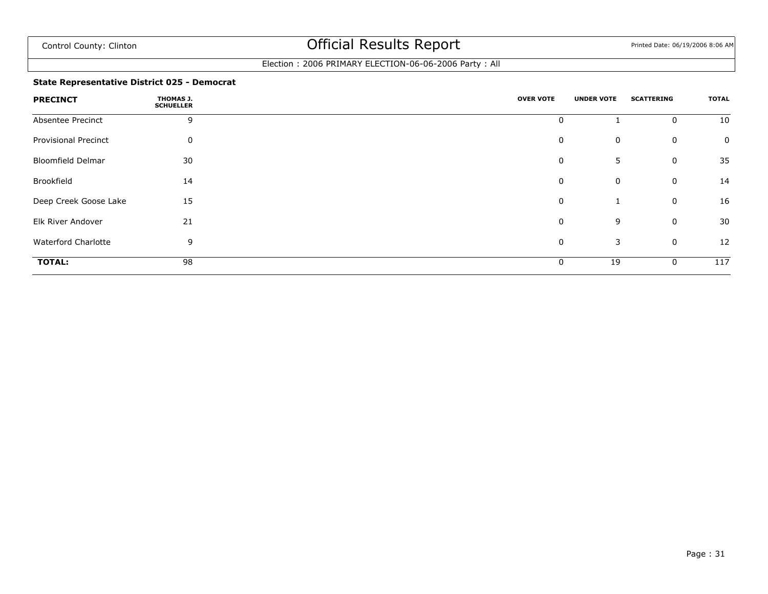### Election : 2006 PRIMARY ELECTION-06-06-2006 Party : All

### **State Representative District 025 - Democrat**

| <b>PRECINCT</b>             | THOMAS J.<br><b>SCHUELLER</b> | <b>OVER VOTE</b> | <b>UNDER VOTE</b> | <b>SCATTERING</b> | <b>TOTAL</b> |
|-----------------------------|-------------------------------|------------------|-------------------|-------------------|--------------|
| Absentee Precinct           | 9                             | 0                |                   | $\mathbf 0$       | 10           |
| <b>Provisional Precinct</b> | 0                             | 0                | 0                 | $\mathbf 0$       | 0            |
| <b>Bloomfield Delmar</b>    | 30                            | 0                | 5                 | $\mathbf 0$       | 35           |
| Brookfield                  | 14                            | 0                | 0                 | $\mathbf 0$       | 14           |
| Deep Creek Goose Lake       | 15                            | 0                | 1                 | $\mathbf 0$       | 16           |
| Elk River Andover           | 21                            | 0                | 9                 | $\mathbf 0$       | 30           |
| <b>Waterford Charlotte</b>  | 9                             | 0                | 3                 | $\mathbf 0$       | 12           |
| <b>TOTAL:</b>               | 98                            | 0                | 19                | $\mathbf 0$       | 117          |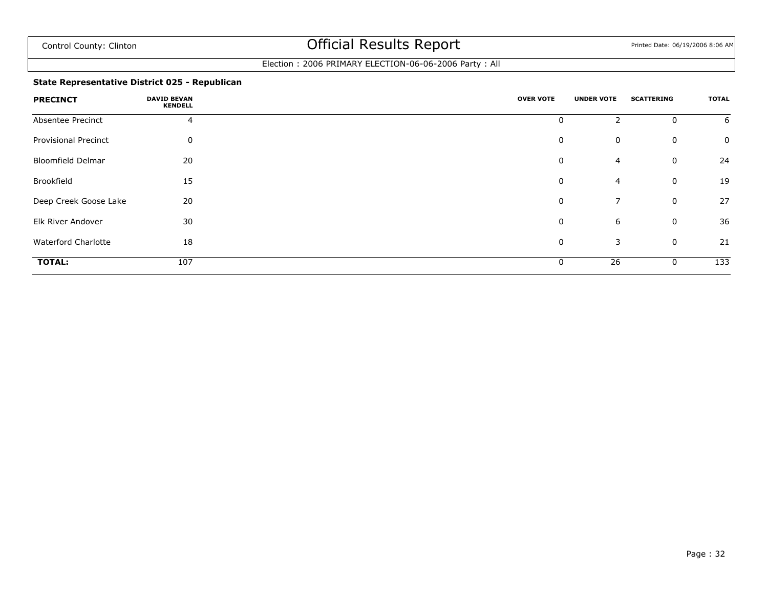### Election : 2006 PRIMARY ELECTION-06-06-2006 Party : All

### **State Representative District 025 - Republican**

| <b>PRECINCT</b>             | <b>DAVID BEVAN</b><br><b>KENDELL</b> | <b>OVER VOTE</b> | <b>UNDER VOTE</b> | <b>SCATTERING</b> | <b>TOTAL</b> |
|-----------------------------|--------------------------------------|------------------|-------------------|-------------------|--------------|
| Absentee Precinct           | 4                                    | 0                | $\overline{2}$    | 0                 | 6            |
| <b>Provisional Precinct</b> | 0                                    | 0                | $\mathbf 0$       | $\mathbf 0$       | 0            |
| <b>Bloomfield Delmar</b>    | 20                                   | 0                | 4                 | $\mathbf 0$       | 24           |
| Brookfield                  | 15                                   | 0                | $\overline{4}$    | $\mathbf 0$       | 19           |
| Deep Creek Goose Lake       | 20                                   | 0                | $\overline{7}$    | $\mathbf 0$       | 27           |
| Elk River Andover           | 30                                   | 0                | 6                 | $\mathbf 0$       | 36           |
| <b>Waterford Charlotte</b>  | 18                                   | 0                | 3                 | $\mathbf 0$       | 21           |
| <b>TOTAL:</b>               | 107                                  | 0                | 26                | 0                 | 133          |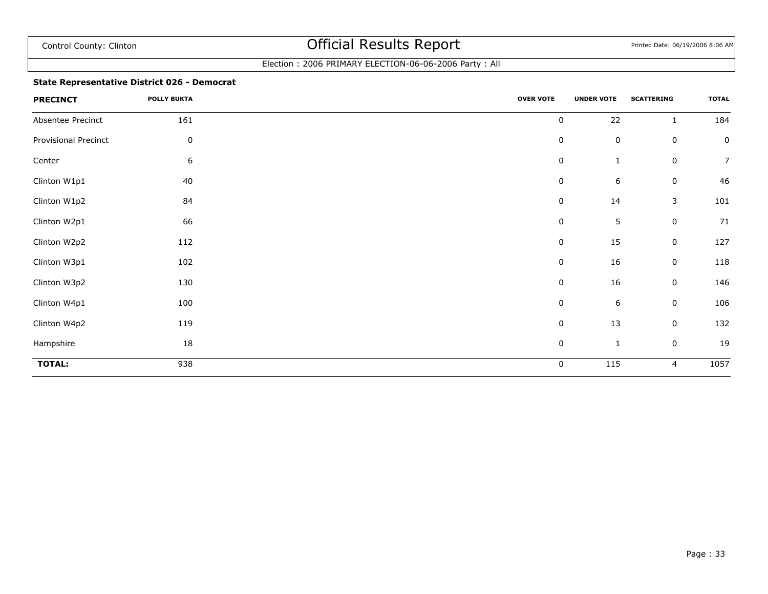### Election : 2006 PRIMARY ELECTION-06-06-2006 Party : All

### **State Representative District 026 - Democrat**

| <b>PRECINCT</b>      | <b>POLLY BUKTA</b> | <b>OVER VOTE</b> | <b>UNDER VOTE</b> | <b>SCATTERING</b> | <b>TOTAL</b>     |
|----------------------|--------------------|------------------|-------------------|-------------------|------------------|
| Absentee Precinct    | 161                | $\pmb{0}$        | 22                | $\mathbf{1}$      | 184              |
| Provisional Precinct | $\pmb{0}$          | $\pmb{0}$        | $\mathsf 0$       | $\mathsf 0$       | $\pmb{0}$        |
| Center               | $\boldsymbol{6}$   | $\pmb{0}$        | $\mathbf{1}$      | $\mathbf 0$       | $\boldsymbol{7}$ |
| Clinton W1p1         | 40                 | 0                | 6                 | 0                 | 46               |
| Clinton W1p2         | 84                 | $\pmb{0}$        | 14                | $\mathsf 3$       | 101              |
| Clinton W2p1         | 66                 | 0                | 5                 | $\mathbf 0$       | 71               |
| Clinton W2p2         | 112                | 0                | 15                | 0                 | 127              |
| Clinton W3p1         | 102                | 0                | 16                | $\mathbf 0$       | 118              |
| Clinton W3p2         | 130                | $\pmb{0}$        | 16                | 0                 | 146              |
| Clinton W4p1         | 100                | $\pmb{0}$        | $\,$ 6 $\,$       | $\mathbf 0$       | 106              |
| Clinton W4p2         | 119                | 0                | 13                | 0                 | 132              |
| Hampshire            | 18                 | $\pmb{0}$        | $\mathbf{1}$      | $\mathsf 0$       | 19               |
| <b>TOTAL:</b>        | 938                | 0                | 115               | $\overline{4}$    | 1057             |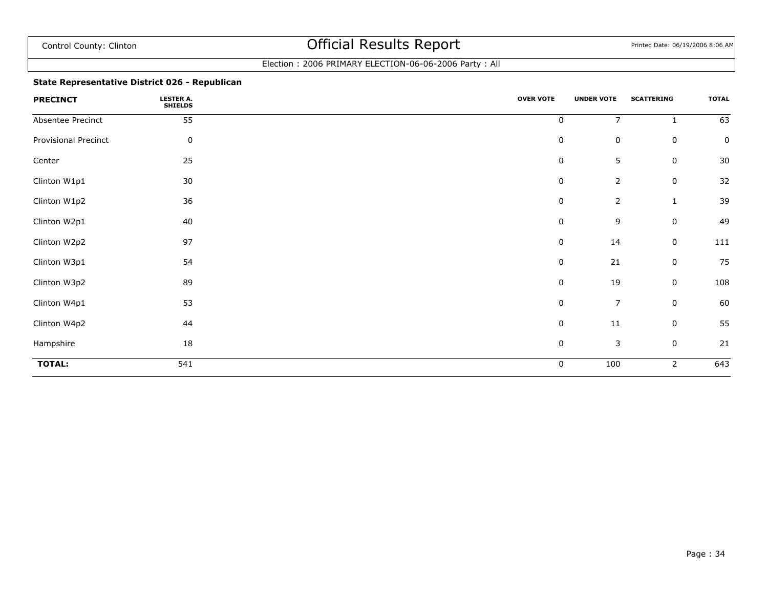### Election : 2006 PRIMARY ELECTION-06-06-2006 Party : All

### **State Representative District 026 - Republican**

| <b>PRECINCT</b>             | <b>LESTER A.</b><br><b>SHIELDS</b> | <b>OVER VOTE</b> | <b>UNDER VOTE</b> | <b>SCATTERING</b> | <b>TOTAL</b>     |
|-----------------------------|------------------------------------|------------------|-------------------|-------------------|------------------|
| Absentee Precinct           | 55                                 | $\pmb{0}$        | $\overline{7}$    | $\mathbf{1}$      | 63               |
| <b>Provisional Precinct</b> | 0                                  | $\boldsymbol{0}$ | $\mathsf 0$       | 0                 | 0                |
| Center                      | 25                                 | 0                | 5                 | 0                 | 30               |
| Clinton W1p1                | $30\,$                             | $\pmb{0}$        | $\overline{2}$    | 0                 | 32               |
| Clinton W1p2                | 36                                 | 0                | $\overline{2}$    | $\mathbf{1}$      | 39               |
| Clinton W2p1                | 40                                 | 0                | 9                 | $\mathbf 0$       | 49               |
| Clinton W2p2                | 97                                 | $\pmb{0}$        | 14                | 0                 | 111              |
| Clinton W3p1                | 54                                 | $\pmb{0}$        | 21                | 0                 | 75               |
| Clinton W3p2                | 89                                 | 0                | 19                | 0                 | 108              |
| Clinton W4p1                | 53                                 | $\pmb{0}$        | $\overline{7}$    | $\mathbf 0$       | 60               |
| Clinton W4p2                | 44                                 | $\pmb{0}$        | 11                | 0                 | 55               |
| Hampshire                   | 18                                 | $\pmb{0}$        | $\mathsf 3$       | $\mathsf 0$       | 21               |
| <b>TOTAL:</b>               | 541                                | 0                | 100               | 2                 | $\overline{643}$ |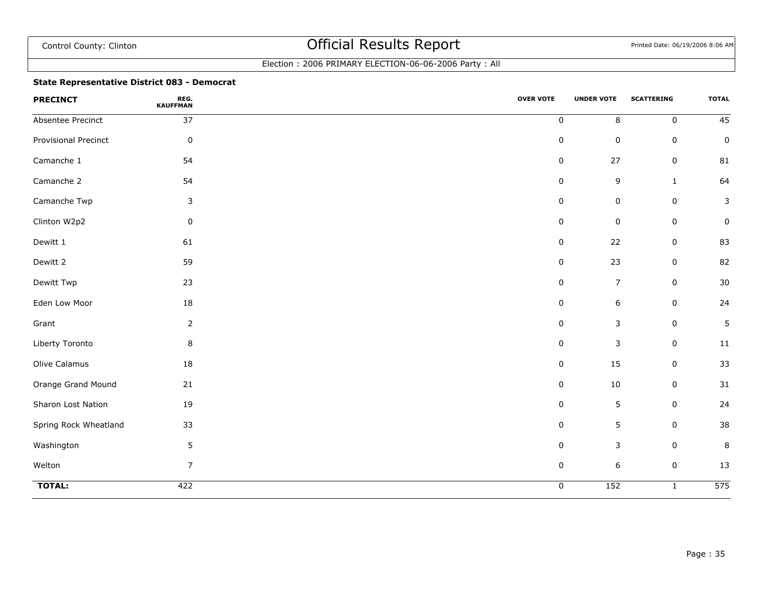### Election : 2006 PRIMARY ELECTION-06-06-2006 Party : All

### **State Representative District 083 - Democrat**

| <b>PRECINCT</b>       | REG.<br><b>KAUFFMAN</b> | <b>OVER VOTE</b> | <b>UNDER VOTE</b> | <b>SCATTERING</b> | <b>TOTAL</b>     |
|-----------------------|-------------------------|------------------|-------------------|-------------------|------------------|
| Absentee Precinct     | 37                      | $\pmb{0}$        | $\,8\,$           | $\mathbf 0$       | 45               |
| Provisional Precinct  | $\pmb{0}$               | 0                | $\mathsf 0$       | 0                 | $\pmb{0}$        |
| Camanche 1            | 54                      | 0                | 27                | 0                 | 81               |
| Camanche 2            | 54                      | 0                | 9                 | $\mathbf{1}$      | 64               |
| Camanche Twp          | 3                       | 0                | $\mathsf 0$       | 0                 | 3                |
| Clinton W2p2          | $\pmb{0}$               | 0                | $\pmb{0}$         | $\mathsf 0$       | 0                |
| Dewitt 1              | 61                      | 0                | 22                | 0                 | 83               |
| Dewitt 2              | 59                      | $\mathbf 0$      | 23                | $\mathbf 0$       | 82               |
| Dewitt Twp            | 23                      | $\pmb{0}$        | $\overline{7}$    | $\mathsf 0$       | $30\,$           |
| Eden Low Moor         | 18                      | 0                | $\,$ 6 $\,$       | $\mathsf 0$       | 24               |
| Grant                 | $\overline{2}$          | 0                | $\mathsf 3$       | $\mathsf 0$       | 5                |
| Liberty Toronto       | 8                       | $\mathbf 0$      | 3                 | $\mathbf 0$       | 11               |
| Olive Calamus         | 18                      | $\pmb{0}$        | 15                | $\mathsf 0$       | 33               |
| Orange Grand Mound    | 21                      | $\pmb{0}$        | 10                | $\mathsf 0$       | 31               |
| Sharon Lost Nation    | 19                      | 0                | 5                 | 0                 | 24               |
| Spring Rock Wheatland | 33                      | $\Omega$         | 5                 | $\mathbf 0$       | 38               |
| Washington            | 5                       | $\mathbf 0$      | 3                 | $\mathbf 0$       | $\,$ 8 $\,$      |
| Welton                | $\overline{7}$          | $\pmb{0}$        | $\boldsymbol{6}$  | $\mathsf 0$       | 13               |
| <b>TOTAL:</b>         | 422                     | $\pmb{0}$        | 152               | $\mathbf{1}$      | $\overline{575}$ |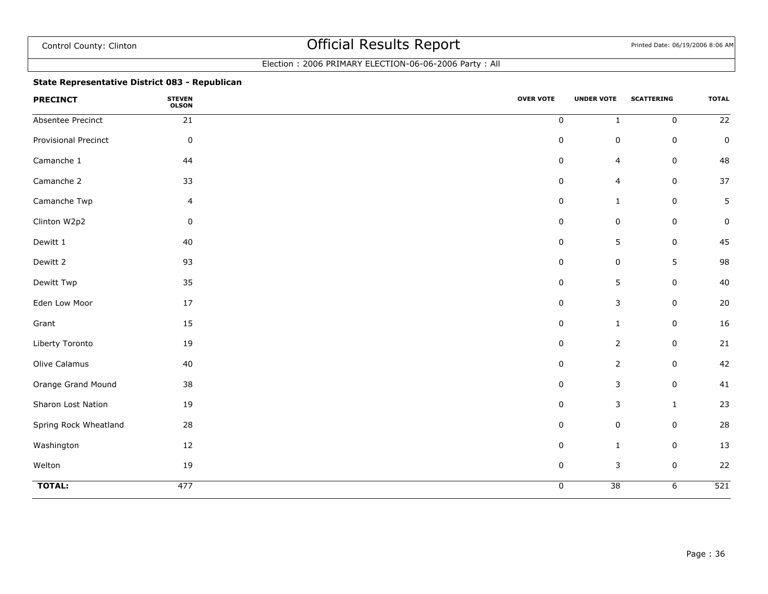### Election : 2006 PRIMARY ELECTION-06-06-2006 Party : All

### **State Representative District 083 - Republican**

| <b>PRECINCT</b>       | <b>STEVEN</b><br><b>OLSON</b> | <b>OVER VOTE</b> | <b>UNDER VOTE</b> | <b>SCATTERING</b> | <b>TOTAL</b>     |
|-----------------------|-------------------------------|------------------|-------------------|-------------------|------------------|
| Absentee Precinct     | 21                            | $\pmb{0}$        | $\mathbf 1$       | $\mathbf 0$       | 22               |
| Provisional Precinct  | $\pmb{0}$                     | $\pmb{0}$        | $\mathsf 0$       | 0                 | $\pmb{0}$        |
| Camanche 1            | 44                            | $\mathbf 0$      | $\overline{4}$    | 0                 | 48               |
| Camanche 2            | 33                            | 0                | $\overline{4}$    | $\mathbf 0$       | 37               |
| Camanche Twp          | 4                             | 0                | $\mathbf{1}$      | 0                 | 5                |
| Clinton W2p2          | 0                             | 0                | $\pmb{0}$         | 0                 | 0                |
| Dewitt 1              | 40                            | $\mathbf 0$      | 5                 | $\mathbf 0$       | 45               |
| Dewitt 2              | 93                            | $\mathbf 0$      | $\mathbf 0$       | 5                 | 98               |
| Dewitt Twp            | 35                            | $\pmb{0}$        | 5                 | $\mathsf 0$       | 40               |
| Eden Low Moor         | $17\,$                        | $\pmb{0}$        | $\mathsf 3$       | $\mathsf 0$       | $20\,$           |
| Grant                 | 15                            | $\mathbf 0$      | $\mathbf{1}$      | $\mathsf 0$       | 16               |
| Liberty Toronto       | 19                            | $\pmb{0}$        | $\overline{2}$    | $\mathbf 0$       | 21               |
| Olive Calamus         | 40                            | 0                | $\overline{2}$    | 0                 | 42               |
| Orange Grand Mound    | 38                            | 0                | $\mathsf 3$       | $\mathsf 0$       | 41               |
| Sharon Lost Nation    | 19                            | $\mathbf 0$      | $\mathsf 3$       | $\mathbf{1}$      | 23               |
| Spring Rock Wheatland | 28                            | $\mathbf 0$      | $\mathbf 0$       | $\mathbf 0$       | 28               |
| Washington            | 12                            | $\mathbf 0$      | $\mathbf{1}$      | 0                 | 13               |
| Welton                | 19                            | $\pmb{0}$        | $\mathsf 3$       | $\mathsf 0$       | 22               |
| <b>TOTAL:</b>         | 477                           | $\pmb{0}$        | $\overline{38}$   | 6                 | $\overline{521}$ |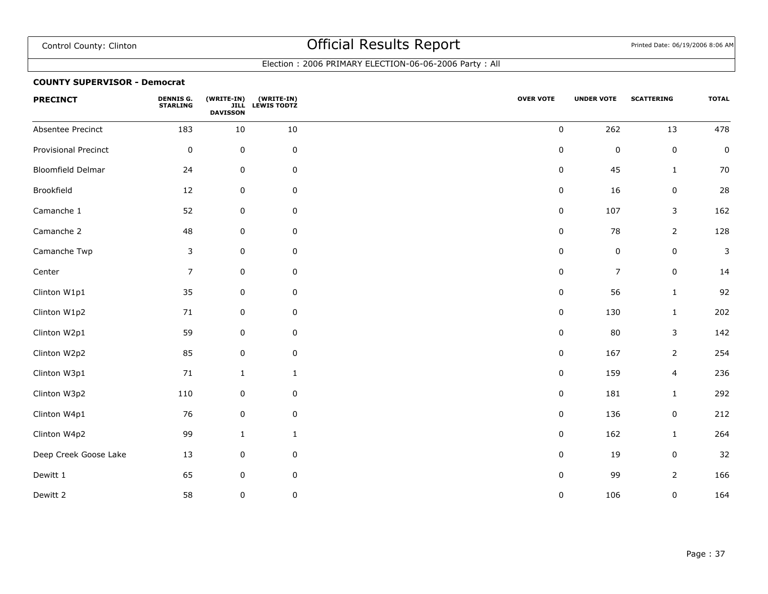### Election : 2006 PRIMARY ELECTION-06-06-2006 Party : All

#### **COUNTY SUPERVISOR - Democrat**

| <b>PRECINCT</b>       | <b>DENNIS G.</b><br><b>STARLING</b> | (WRITE-IN)<br><b>DAVISSON</b> | (WRITE-IN)<br>JILL LEWIS TODTZ | <b>OVER VOTE</b> | <b>UNDER VOTE</b> | <b>SCATTERING</b> | <b>TOTAL</b> |
|-----------------------|-------------------------------------|-------------------------------|--------------------------------|------------------|-------------------|-------------------|--------------|
| Absentee Precinct     | 183                                 | 10                            | 10                             | $\pmb{0}$        | 262               | 13                | 478          |
| Provisional Precinct  | $\pmb{0}$                           | $\mathsf 0$                   | 0                              | 0                | $\boldsymbol{0}$  | $\mathsf 0$       | $\pmb{0}$    |
| Bloomfield Delmar     | 24                                  | 0                             | 0                              | 0                | 45                | $\mathbf{1}$      | $70\,$       |
| Brookfield            | 12                                  | $\pmb{0}$                     | $\pmb{0}$                      | $\pmb{0}$        | 16                | $\pmb{0}$         | 28           |
| Camanche 1            | 52                                  | $\pmb{0}$                     | 0                              | 0                | 107               | 3                 | 162          |
| Camanche 2            | 48                                  | $\mathbf 0$                   | 0                              | $\pmb{0}$        | 78                | $\overline{2}$    | 128          |
| Camanche Twp          | $\mathsf 3$                         | $\pmb{0}$                     | $\mathsf 0$                    | $\pmb{0}$        | $\pmb{0}$         | $\pmb{0}$         | 3            |
| Center                | $\overline{7}$                      | $\mathsf 0$                   | $\mathsf 0$                    | $\pmb{0}$        | $\overline{7}$    | $\pmb{0}$         | 14           |
| Clinton W1p1          | 35                                  | $\pmb{0}$                     | 0                              | $\pmb{0}$        | 56                | $\mathbf{1}$      | 92           |
| Clinton W1p2          | $71\,$                              | $\mathsf 0$                   | 0                              | $\pmb{0}$        | 130               | $\mathbf{1}$      | 202          |
| Clinton W2p1          | 59                                  | 0                             | 0                              | $\pmb{0}$        | 80                | 3                 | 142          |
| Clinton W2p2          | 85                                  | $\pmb{0}$                     | $\pmb{0}$                      | $\pmb{0}$        | 167               | $\overline{2}$    | 254          |
| Clinton W3p1          | $71\,$                              | $\mathbf{1}$                  | $\mathbf{1}$                   | $\mathbf 0$      | 159               | 4                 | 236          |
| Clinton W3p2          | 110                                 | 0                             | 0                              | 0                | 181               | $\mathbf{1}$      | 292          |
| Clinton W4p1          | 76                                  | $\pmb{0}$                     | $\mathsf 0$                    | $\pmb{0}$        | 136               | $\pmb{0}$         | 212          |
| Clinton W4p2          | 99                                  | $\mathbf{1}$                  | $\mathbf{1}$                   | $\pmb{0}$        | 162               | 1                 | 264          |
| Deep Creek Goose Lake | 13                                  | $\mathbf 0$                   | 0                              | 0                | 19                | $\pmb{0}$         | 32           |
| Dewitt 1              | 65                                  | $\pmb{0}$                     | 0                              | $\pmb{0}$        | 99                | $\overline{2}$    | 166          |
| Dewitt 2              | 58                                  | $\pmb{0}$                     | $\pmb{0}$                      | $\pmb{0}$        | 106               | $\pmb{0}$         | 164          |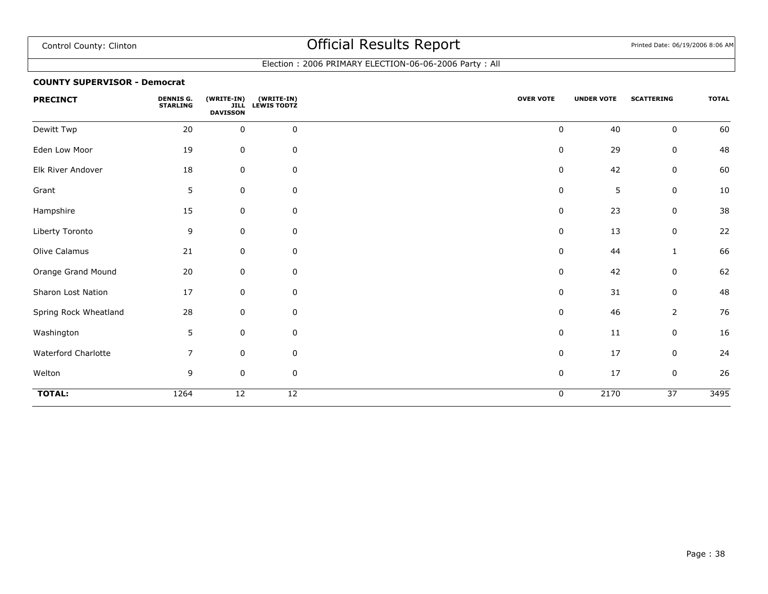### Election : 2006 PRIMARY ELECTION-06-06-2006 Party : All

#### **COUNTY SUPERVISOR - Democrat**

| <b>PRECINCT</b>       | <b>DENNIS G.</b><br><b>STARLING</b> | (WRITE-IN)<br><b>JILL</b><br><b>DAVISSON</b> | (WRITE-IN)<br><b>LEWIS TODTZ</b> | <b>OVER VOTE</b> | <b>UNDER VOTE</b> | <b>SCATTERING</b> | <b>TOTAL</b>     |
|-----------------------|-------------------------------------|----------------------------------------------|----------------------------------|------------------|-------------------|-------------------|------------------|
| Dewitt Twp            | 20                                  | $\mathbf 0$                                  | $\mathsf 0$                      | $\pmb{0}$        | 40                | $\mathbf 0$       | 60               |
| Eden Low Moor         | 19                                  | $\mathbf 0$                                  | 0                                | $\boldsymbol{0}$ | 29                | 0                 | 48               |
| Elk River Andover     | 18                                  | $\pmb{0}$                                    | 0                                | 0                | 42                | 0                 | 60               |
| Grant                 | 5                                   | $\pmb{0}$                                    | $\pmb{0}$                        | 0                | 5                 | 0                 | 10               |
| Hampshire             | 15                                  | $\mathbf 0$                                  | 0                                | 0                | 23                | 0                 | 38               |
| Liberty Toronto       | 9                                   | $\mathbf 0$                                  | 0                                | $\mathbf 0$      | 13                | 0                 | 22               |
| Olive Calamus         | 21                                  | $\mathbf 0$                                  | 0                                | 0                | 44                | 1                 | 66               |
| Orange Grand Mound    | 20                                  | $\pmb{0}$                                    | 0                                | 0                | 42                | $\mathbf 0$       | 62               |
| Sharon Lost Nation    | 17                                  | $\mathbf 0$                                  | 0                                | 0                | 31                | 0                 | 48               |
| Spring Rock Wheatland | 28                                  | $\pmb{0}$                                    | $\mathbf 0$                      | 0                | 46                | $\overline{2}$    | 76               |
| Washington            | 5                                   | $\mathbf 0$                                  | $\mathbf 0$                      | $\pmb{0}$        | 11                | 0                 | 16               |
| Waterford Charlotte   | $\overline{7}$                      | $\mathbf 0$                                  | 0                                | $\mathbf 0$      | 17                | $\mathbf 0$       | 24               |
| Welton                | 9                                   | $\pmb{0}$                                    | $\mathbf 0$                      | $\boldsymbol{0}$ | 17                | $\mathsf 0$       | 26               |
| <b>TOTAL:</b>         | 1264                                | $\overline{12}$                              | $\overline{12}$                  | $\mathbf 0$      | 2170              | $\overline{37}$   | $\frac{1}{3495}$ |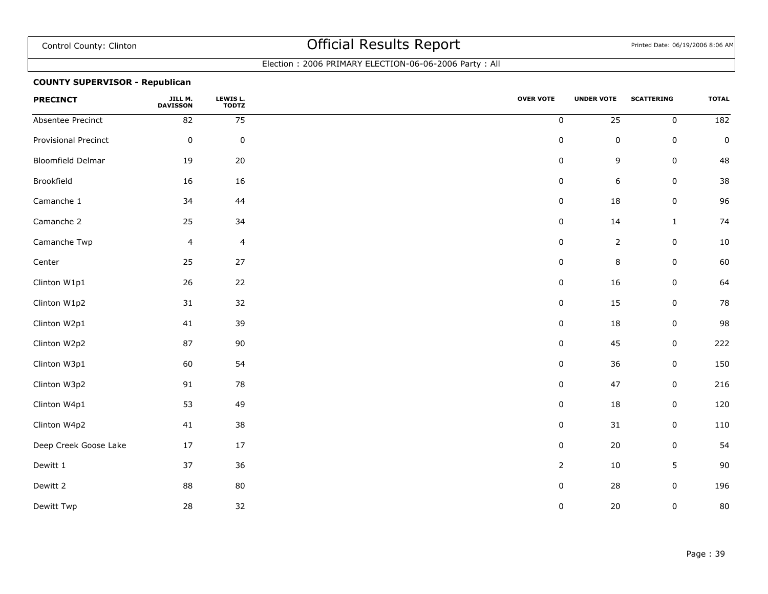### Election : 2006 PRIMARY ELECTION-06-06-2006 Party : All

### **COUNTY SUPERVISOR - Republican**

| <b>PRECINCT</b>          | JILL M.<br><b>DAVISSON</b> | LEWIS L.<br><b>TODTZ</b> | <b>OVER VOTE</b> | <b>UNDER VOTE</b> | <b>SCATTERING</b> | <b>TOTAL</b>     |
|--------------------------|----------------------------|--------------------------|------------------|-------------------|-------------------|------------------|
| Absentee Precinct        | 82                         | 75                       | $\pmb{0}$        | $\overline{25}$   | $\pmb{0}$         | $\overline{182}$ |
| Provisional Precinct     | $\pmb{0}$                  | $\pmb{0}$                | $\pmb{0}$        | $\pmb{0}$         | 0                 | $\pmb{0}$        |
| <b>Bloomfield Delmar</b> | 19                         | 20                       | $\pmb{0}$        | 9                 | $\pmb{0}$         | 48               |
| Brookfield               | 16                         | 16                       | $\pmb{0}$        | 6                 | $\pmb{0}$         | $38\,$           |
| Camanche 1               | 34                         | 44                       | $\pmb{0}$        | 18                | $\pmb{0}$         | 96               |
| Camanche 2               | 25                         | 34                       | $\pmb{0}$        | $14\,$            | $\mathbf{1}$      | 74               |
| Camanche Twp             | $\overline{4}$             | $\overline{4}$           | $\pmb{0}$        | $\overline{2}$    | $\pmb{0}$         | $10\,$           |
| Center                   | 25                         | $27$                     | $\pmb{0}$        | 8                 | $\pmb{0}$         | 60               |
| Clinton W1p1             | 26                         | 22                       | $\pmb{0}$        | 16                | $\pmb{0}$         | 64               |
| Clinton W1p2             | 31                         | 32                       | $\pmb{0}$        | 15                | 0                 | 78               |
| Clinton W2p1             | 41                         | 39                       | $\pmb{0}$        | 18                | $\pmb{0}$         | 98               |
| Clinton W2p2             | 87                         | 90                       | $\pmb{0}$        | 45                | $\pmb{0}$         | 222              |
| Clinton W3p1             | 60                         | 54                       | $\pmb{0}$        | 36                | $\pmb{0}$         | 150              |
| Clinton W3p2             | 91                         | 78                       | $\pmb{0}$        | 47                | $\pmb{0}$         | 216              |
| Clinton W4p1             | 53                         | 49                       | $\pmb{0}$        | 18                | $\pmb{0}$         | 120              |
| Clinton W4p2             | 41                         | 38                       | $\pmb{0}$        | 31                | 0                 | 110              |
| Deep Creek Goose Lake    | 17                         | 17                       | $\pmb{0}$        | 20                | $\pmb{0}$         | 54               |
| Dewitt 1                 | 37                         | 36                       | $\overline{2}$   | $10\,$            | 5                 | 90               |
| Dewitt 2                 | 88                         | 80                       | $\pmb{0}$        | 28                | $\pmb{0}$         | 196              |
| Dewitt Twp               | 28                         | 32                       | $\pmb{0}$        | 20                | $\pmb{0}$         | 80               |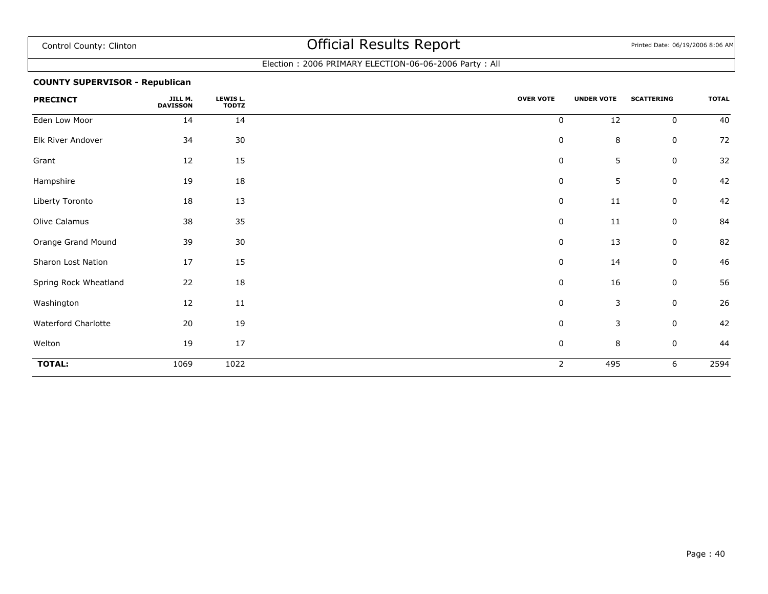### Election : 2006 PRIMARY ELECTION-06-06-2006 Party : All

### **COUNTY SUPERVISOR - Republican**

| <b>PRECINCT</b>       | JILL M.<br><b>DAVISSON</b> | LEWIS L.<br><b>TODTZ</b> | <b>OVER VOTE</b> | <b>UNDER VOTE</b> | <b>SCATTERING</b> | <b>TOTAL</b> |
|-----------------------|----------------------------|--------------------------|------------------|-------------------|-------------------|--------------|
| Eden Low Moor         | 14                         | 14                       | 0                | 12                | $\mathbf 0$       | 40           |
| Elk River Andover     | 34                         | 30                       | 0                | $\bf 8$           | 0                 | 72           |
| Grant                 | 12                         | 15                       | 0                | 5                 | $\mathbf 0$       | 32           |
| Hampshire             | 19                         | 18                       | 0                | 5                 | 0                 | 42           |
| Liberty Toronto       | 18                         | 13                       | 0                | 11                | 0                 | 42           |
| Olive Calamus         | 38                         | 35                       | 0                | 11                | 0                 | 84           |
| Orange Grand Mound    | 39                         | $30\,$                   | 0                | 13                | 0                 | 82           |
| Sharon Lost Nation    | 17                         | 15                       | 0                | 14                | 0                 | 46           |
| Spring Rock Wheatland | 22                         | 18                       | $\pmb{0}$        | 16                | $\mathbf 0$       | 56           |
| Washington            | 12                         | 11                       | $\pmb{0}$        | 3                 | $\mathbf 0$       | 26           |
| Waterford Charlotte   | 20                         | 19                       | 0                | $\mathsf 3$       | 0                 | 42           |
| Welton                | 19                         | 17                       | 0                | $\bf 8$           | 0                 | 44           |
| <b>TOTAL:</b>         | 1069                       | 1022                     | $\overline{2}$   | 495               | 6                 | 2594         |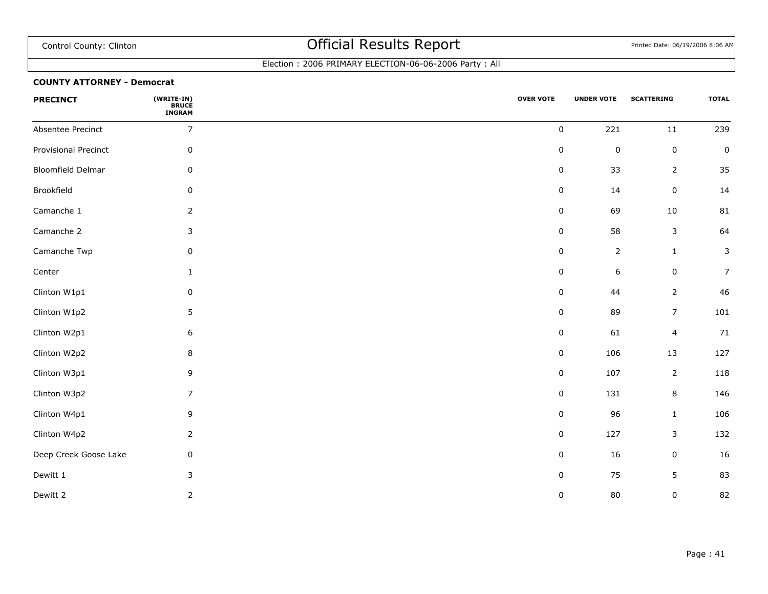### Election : 2006 PRIMARY ELECTION-06-06-2006 Party : All

#### **COUNTY ATTORNEY - Democrat**

| <b>PRECINCT</b>          | (WRITE-IN)<br>BRUCE<br>INGRAM | <b>OVER VOTE</b> | <b>UNDER VOTE</b> | <b>SCATTERING</b>       | <b>TOTAL</b>   |
|--------------------------|-------------------------------|------------------|-------------------|-------------------------|----------------|
| Absentee Precinct        | $\overline{7}$                | $\pmb{0}$        | 221               | $11\,$                  | 239            |
| Provisional Precinct     | $\mathbf 0$                   | $\pmb{0}$        | $\pmb{0}$         | $\pmb{0}$               | $\pmb{0}$      |
| <b>Bloomfield Delmar</b> | $\mathbf 0$                   | $\pmb{0}$        | 33                | $\overline{2}$          | 35             |
| Brookfield               | $\mathbf 0$                   | $\pmb{0}$        | 14                | $\pmb{0}$               | 14             |
| Camanche 1               | $\overline{2}$                | $\pmb{0}$        | 69                | 10                      | 81             |
| Camanche 2               | 3                             | $\pmb{0}$        | 58                | 3                       | 64             |
| Camanche Twp             | $\mathbf 0$                   | $\pmb{0}$        | $\overline{2}$    | $\mathbf{1}$            | $\mathbf{3}$   |
| Center                   | $\mathbf{1}$                  | $\pmb{0}$        | $\boldsymbol{6}$  | $\pmb{0}$               | $\overline{7}$ |
| Clinton W1p1             | $\mathbf 0$                   | 0                | 44                | $\overline{2}$          | 46             |
| Clinton W1p2             | $5\phantom{.0}$               | $\pmb{0}$        | 89                | $\overline{7}$          | 101            |
| Clinton W2p1             | $\,$ 6 $\,$                   | $\pmb{0}$        | 61                | $\overline{\mathbf{4}}$ | 71             |
| Clinton W2p2             | $\bf 8$                       | $\pmb{0}$        | 106               | 13                      | 127            |
| Clinton W3p1             | 9                             | $\pmb{0}$        | 107               | $\overline{2}$          | 118            |
| Clinton W3p2             | $\overline{7}$                | $\pmb{0}$        | 131               | 8                       | 146            |
| Clinton W4p1             | 9                             | 0                | 96                | $\mathbf 1$             | 106            |
| Clinton W4p2             | $\overline{2}$                | $\pmb{0}$        | 127               | 3                       | 132            |
| Deep Creek Goose Lake    | $\mathbf 0$                   | $\pmb{0}$        | 16                | $\pmb{0}$               | 16             |
| Dewitt 1                 | 3                             | $\pmb{0}$        | 75                | 5                       | 83             |
| Dewitt 2                 | $\overline{2}$                | 0                | 80                | $\pmb{0}$               | 82             |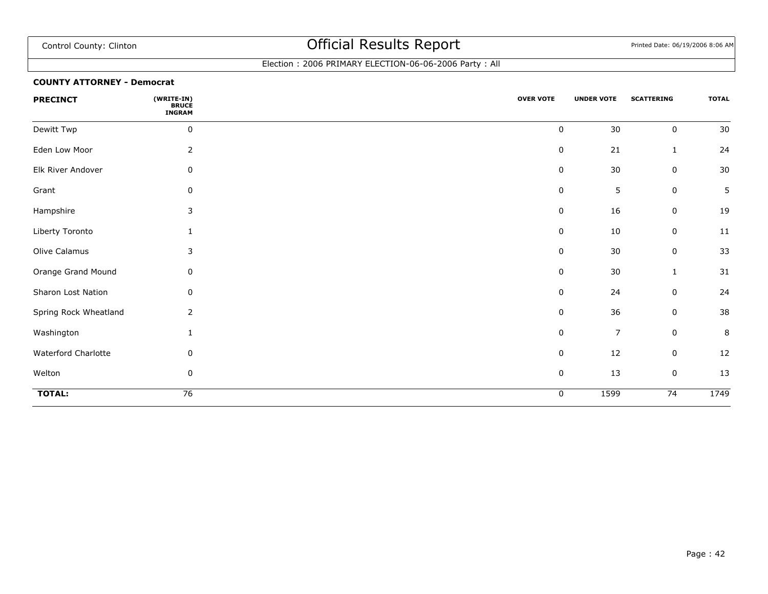### Election : 2006 PRIMARY ELECTION-06-06-2006 Party : All

#### **COUNTY ATTORNEY - Democrat**

| <b>PRECINCT</b>       | (WRITE-IN)<br><b>BRUCE</b><br><b>INGRAM</b> | <b>OVER VOTE</b> | <b>UNDER VOTE</b> | <b>SCATTERING</b> | <b>TOTAL</b> |
|-----------------------|---------------------------------------------|------------------|-------------------|-------------------|--------------|
| Dewitt Twp            | $\pmb{0}$                                   | $\pmb{0}$        | 30                | $\pmb{0}$         | $30\,$       |
| Eden Low Moor         | $\overline{2}$                              | $\mathbf 0$      | 21                | 1                 | 24           |
| Elk River Andover     | $\mathbf 0$                                 | 0                | 30                | $\mathbf 0$       | $30\,$       |
| Grant                 | 0                                           | 0                | 5                 | $\boldsymbol{0}$  | 5            |
| Hampshire             | 3                                           | $\pmb{0}$        | 16                | $\boldsymbol{0}$  | 19           |
| Liberty Toronto       | 1                                           | 0                | 10                | $\boldsymbol{0}$  | $11\,$       |
| Olive Calamus         | 3                                           | 0                | 30                | $\pmb{0}$         | 33           |
| Orange Grand Mound    | 0                                           | 0                | $30\,$            | $\mathbf{1}$      | 31           |
| Sharon Lost Nation    | 0                                           | 0                | 24                | $\mathbf 0$       | 24           |
| Spring Rock Wheatland | 2                                           | 0                | 36                | 0                 | 38           |
| Washington            | 1                                           | $\pmb{0}$        | $\overline{7}$    | $\pmb{0}$         | $\, 8$       |
| Waterford Charlotte   | 0                                           | 0                | 12                | $\pmb{0}$         | 12           |
| Welton                | $\pmb{0}$                                   | $\pmb{0}$        | 13                | $\pmb{0}$         | 13           |
| <b>TOTAL:</b>         | $\overline{76}$                             | 0                | 1599              | $\overline{74}$   | 1749         |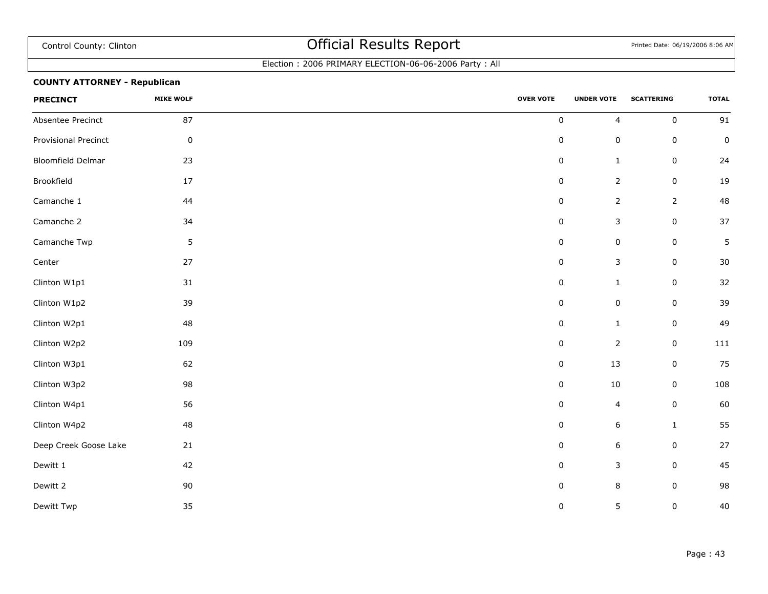### Election : 2006 PRIMARY ELECTION-06-06-2006 Party : All

### **COUNTY ATTORNEY - Republican**

| <b>PRECINCT</b>          | <b>MIKE WOLF</b> | <b>OVER VOTE</b> | <b>UNDER VOTE</b>       | <b>SCATTERING</b> | <b>TOTAL</b> |
|--------------------------|------------------|------------------|-------------------------|-------------------|--------------|
| Absentee Precinct        | 87               | $\pmb{0}$        | $\overline{\mathbf{4}}$ | $\mathsf 0$       | 91           |
| Provisional Precinct     | $\pmb{0}$        | $\pmb{0}$        | $\pmb{0}$               | $\mathsf 0$       | $\pmb{0}$    |
| <b>Bloomfield Delmar</b> | 23               | $\pmb{0}$        | $\mathbf{1}$            | $\mathsf 0$       | 24           |
| Brookfield               | $17\,$           | $\pmb{0}$        | $\overline{2}$          | $\pmb{0}$         | 19           |
| Camanche 1               | 44               | $\pmb{0}$        | $\overline{2}$          | $\overline{2}$    | 48           |
| Camanche 2               | 34               | $\pmb{0}$        | $\mathsf 3$             | $\pmb{0}$         | 37           |
| Camanche Twp             | $\mathsf S$      | $\pmb{0}$        | $\pmb{0}$               | $\pmb{0}$         | 5            |
| Center                   | 27               | $\pmb{0}$        | $\mathsf 3$             | $\mathsf 0$       | 30           |
| Clinton W1p1             | 31               | $\pmb{0}$        | $\mathbf{1}$            | $\mathsf 0$       | $32\,$       |
| Clinton W1p2             | 39               | $\pmb{0}$        | $\pmb{0}$               | $\mathbf 0$       | 39           |
| Clinton W2p1             | 48               | 0                | $\mathbf{1}$            | $\mathsf 0$       | 49           |
| Clinton W2p2             | 109              | $\pmb{0}$        | $\overline{2}$          | $\pmb{0}$         | 111          |
| Clinton W3p1             | 62               | $\pmb{0}$        | 13                      | $\mathsf 0$       | 75           |
| Clinton W3p2             | 98               | $\pmb{0}$        | $10\,$                  | $\pmb{0}$         | 108          |
| Clinton W4p1             | 56               | $\pmb{0}$        | $\overline{4}$          | $\pmb{0}$         | 60           |
| Clinton W4p2             | 48               | $\pmb{0}$        | $\boldsymbol{6}$        | $\mathbf{1}$      | 55           |
| Deep Creek Goose Lake    | 21               | $\pmb{0}$        | $\boldsymbol{6}$        | $\mathsf 0$       | 27           |
| Dewitt 1                 | 42               | $\pmb{0}$        | $\mathsf 3$             | $\mathsf 0$       | 45           |
| Dewitt 2                 | 90               | $\pmb{0}$        | $\,$ 8 $\,$             | $\mathsf 0$       | 98           |
| Dewitt Twp               | 35               | $\pmb{0}$        | 5                       | 0                 | 40           |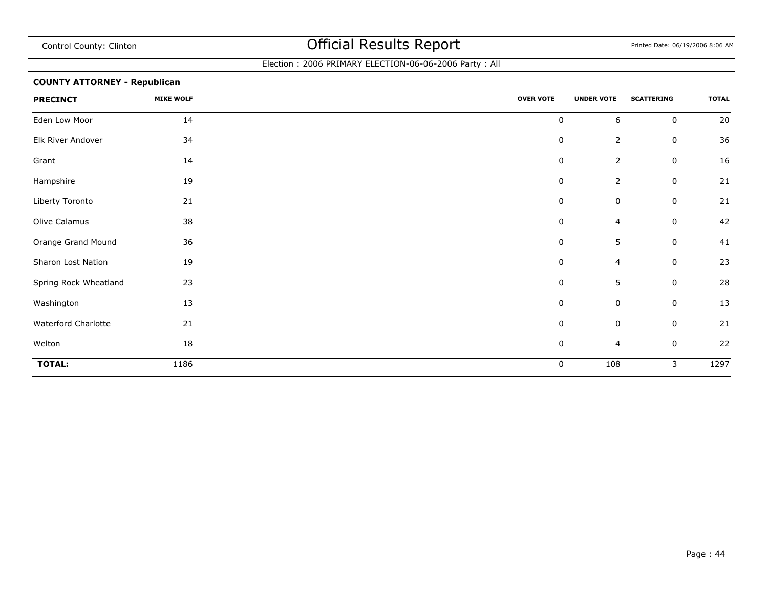### Election : 2006 PRIMARY ELECTION-06-06-2006 Party : All

### **COUNTY ATTORNEY - Republican**

| <b>PRECINCT</b>       | <b>MIKE WOLF</b> | <b>OVER VOTE</b> | <b>UNDER VOTE</b> | <b>SCATTERING</b> | <b>TOTAL</b> |
|-----------------------|------------------|------------------|-------------------|-------------------|--------------|
| Eden Low Moor         | 14               | $\pmb{0}$        | 6                 | $\mathbf 0$       | 20           |
| Elk River Andover     | 34               | $\pmb{0}$        | $\overline{2}$    | 0                 | 36           |
| Grant                 | 14               | $\pmb{0}$        | $\overline{2}$    | 0                 | 16           |
| Hampshire             | 19               | $\pmb{0}$        | $\overline{2}$    | 0                 | 21           |
| Liberty Toronto       | 21               | $\pmb{0}$        | 0                 | 0                 | 21           |
| Olive Calamus         | 38               | $\mathbf 0$      | 4                 | 0                 | 42           |
| Orange Grand Mound    | 36               | $\pmb{0}$        | $\overline{5}$    | $\mathbf 0$       | 41           |
| Sharon Lost Nation    | 19               | 0                | $\overline{4}$    | 0                 | 23           |
| Spring Rock Wheatland | 23               | $\mathbf 0$      | 5                 | 0                 | 28           |
| Washington            | 13               | $\pmb{0}$        | $\mathbf 0$       | $\mathbf 0$       | 13           |
| Waterford Charlotte   | 21               | $\pmb{0}$        | $\mathbf 0$       | $\mathbf 0$       | 21           |
| Welton                | 18               | $\pmb{0}$        | $\overline{4}$    | $\mathbf 0$       | 22           |
| <b>TOTAL:</b>         | 1186             | $\mathbf 0$      | 108               | 3                 | 1297         |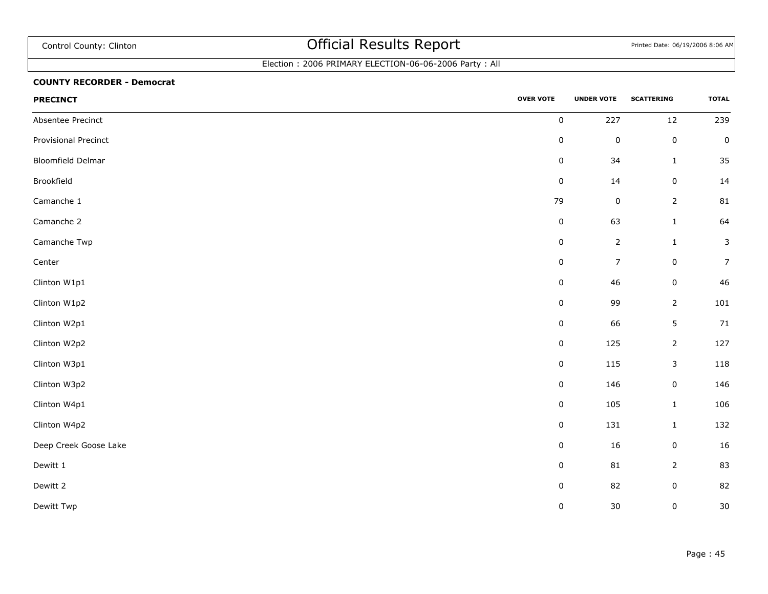## Election : 2006 PRIMARY ELECTION-06-06-2006 Party : All

#### **COUNTY RECORDER - Democrat**

| <b>PRECINCT</b>       | <b>OVER VOTE</b> | <b>UNDER VOTE</b> | <b>SCATTERING</b> | <b>TOTAL</b>   |
|-----------------------|------------------|-------------------|-------------------|----------------|
| Absentee Precinct     | $\pmb{0}$        | 227               | $12\,$            | 239            |
| Provisional Precinct  | $\pmb{0}$        | $\pmb{0}$         | $\pmb{0}$         | $\pmb{0}$      |
| Bloomfield Delmar     | $\pmb{0}$        | 34                | $\mathbf{1}$      | 35             |
| Brookfield            | $\pmb{0}$        | $14\,$            | $\pmb{0}$         | 14             |
| Camanche 1            | 79               | $\pmb{0}$         | $\overline{2}$    | ${\bf 81}$     |
| Camanche 2            | $\pmb{0}$        | 63                | $\mathbf 1$       | 64             |
| Camanche Twp          | $\pmb{0}$        | $\overline{2}$    | $\mathbf 1$       | $\mathsf{3}$   |
| Center                | $\pmb{0}$        | $\overline{7}$    | $\pmb{0}$         | $\overline{7}$ |
| Clinton W1p1          | $\pmb{0}$        | $46\,$            | $\pmb{0}$         | 46             |
| Clinton W1p2          | $\pmb{0}$        | 99                | $\overline{2}$    | 101            |
| Clinton W2p1          | $\pmb{0}$        | 66                | $\sqrt{5}$        | 71             |
| Clinton W2p2          | $\pmb{0}$        | 125               | $\overline{2}$    | 127            |
| Clinton W3p1          | $\pmb{0}$        | 115               | $\mathsf 3$       | 118            |
| Clinton W3p2          | $\pmb{0}$        | 146               | $\pmb{0}$         | 146            |
| Clinton W4p1          | $\mathbf 0$      | 105               | $\mathbf 1$       | 106            |
| Clinton W4p2          | $\pmb{0}$        | 131               | $\mathbf{1}$      | 132            |
| Deep Creek Goose Lake | $\pmb{0}$        | $16\,$            | $\pmb{0}$         | 16             |
| Dewitt 1              | $\pmb{0}$        | 81                | $\overline{2}$    | 83             |
| Dewitt 2              | $\pmb{0}$        | 82                | $\mathbf 0$       | 82             |
| Dewitt Twp            | $\pmb{0}$        | $30\,$            | $\pmb{0}$         | 30             |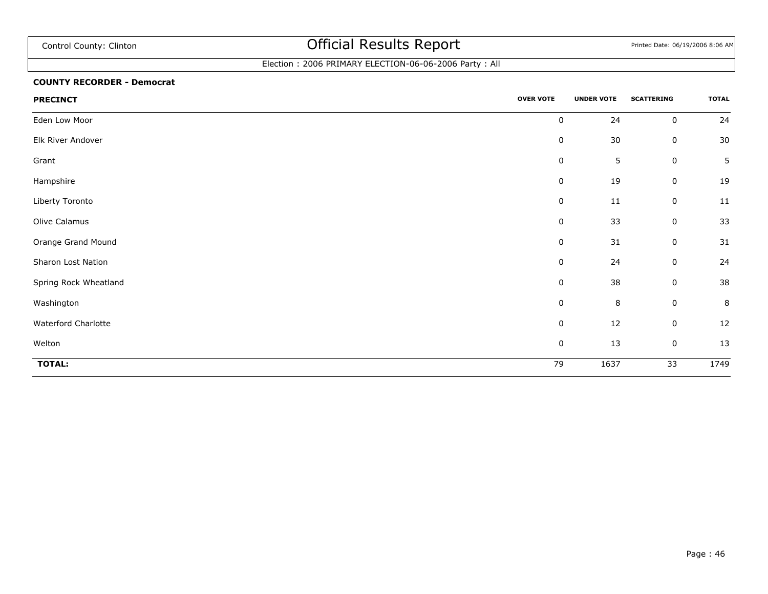## Election : 2006 PRIMARY ELECTION-06-06-2006 Party : All

#### **COUNTY RECORDER - Democrat**

| <b>PRECINCT</b>       | <b>OVER VOTE</b> | <b>UNDER VOTE</b> | <b>SCATTERING</b> | <b>TOTAL</b>   |
|-----------------------|------------------|-------------------|-------------------|----------------|
| Eden Low Moor         | 0                | 24                | $\pmb{0}$         | 24             |
| Elk River Andover     | 0                | 30                | 0                 | 30             |
| Grant                 | $\mathbf 0$      | 5                 | 0                 | $5\phantom{.}$ |
| Hampshire             | $\pmb{0}$        | 19                | $\pmb{0}$         | 19             |
| Liberty Toronto       | $\mathbf 0$      | 11                | $\pmb{0}$         | 11             |
| Olive Calamus         | 0                | 33                | $\pmb{0}$         | 33             |
| Orange Grand Mound    | $\pmb{0}$        | 31                | $\pmb{0}$         | 31             |
| Sharon Lost Nation    | 0                | 24                | $\pmb{0}$         | 24             |
| Spring Rock Wheatland | $\mathbf 0$      | 38                | 0                 | 38             |
| Washington            | $\mathbf 0$      | $\, 8$            | 0                 | 8              |
| Waterford Charlotte   | $\pmb{0}$        | 12                | 0                 | 12             |
| Welton                | $\pmb{0}$        | 13                | 0                 | 13             |
| TOTAL:                | 79               | 1637              | $\overline{33}$   | 1749           |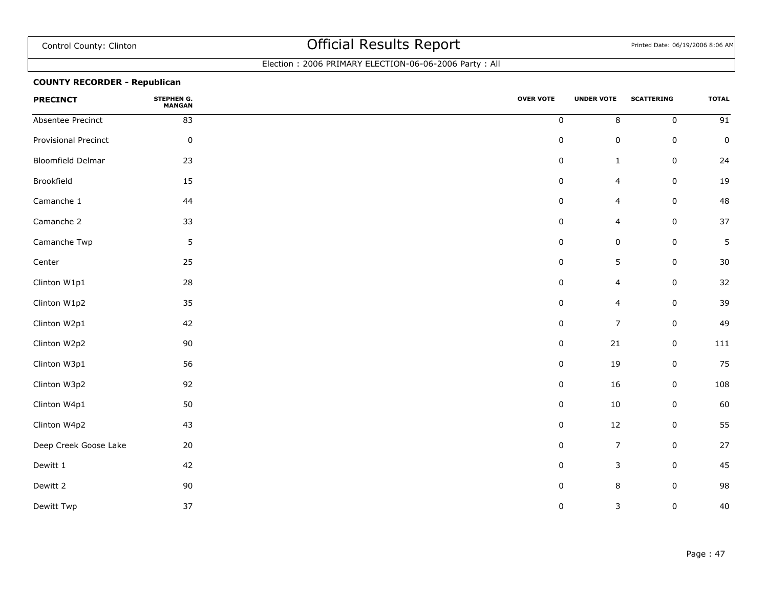### Election : 2006 PRIMARY ELECTION-06-06-2006 Party : All

### **COUNTY RECORDER - Republican**

| <b>PRECINCT</b>          | STEPHEN G.<br><b>MANGAN</b> | <b>OVER VOTE</b> | <b>UNDER VOTE</b> | <b>SCATTERING</b> | <b>TOTAL</b>    |
|--------------------------|-----------------------------|------------------|-------------------|-------------------|-----------------|
| Absentee Precinct        | 83                          | $\pmb{0}$        | 8                 | $\mathbf 0$       | $\overline{91}$ |
| Provisional Precinct     | $\pmb{0}$                   | $\pmb{0}$        | $\pmb{0}$         | $\pmb{0}$         | $\pmb{0}$       |
| <b>Bloomfield Delmar</b> | 23                          | $\pmb{0}$        | $\mathbf{1}$      | $\mathsf 0$       | 24              |
| Brookfield               | 15                          | 0                | $\overline{4}$    | $\mathsf 0$       | 19              |
| Camanche 1               | 44                          | $\pmb{0}$        | $\overline{4}$    | $\mathbf 0$       | 48              |
| Camanche 2               | 33                          | 0                | $\overline{4}$    | $\mathbf 0$       | 37              |
| Camanche Twp             | $5\phantom{.0}$             | $\pmb{0}$        | $\pmb{0}$         | $\mathsf 0$       | 5               |
| Center                   | 25                          | 0                | 5                 | $\mathsf 0$       | 30              |
| Clinton W1p1             | 28                          | $\pmb{0}$        | 4                 | $\mathsf 0$       | 32              |
| Clinton W1p2             | 35                          | 0                | 4                 | $\mathbf 0$       | 39              |
| Clinton W2p1             | 42                          | 0                | $\overline{7}$    | $\mathbf 0$       | 49              |
| Clinton W2p2             | 90                          | 0                | 21                | $\mathsf 0$       | 111             |
| Clinton W3p1             | 56                          | 0                | 19                | $\mathsf 0$       | 75              |
| Clinton W3p2             | 92                          | 0                | 16                | $\mathsf 0$       | 108             |
| Clinton W4p1             | 50                          | $\pmb{0}$        | 10                | $\pmb{0}$         | 60              |
| Clinton W4p2             | 43                          | 0                | 12                | 0                 | 55              |
| Deep Creek Goose Lake    | 20                          | 0                | $\boldsymbol{7}$  | $\pmb{0}$         | 27              |
| Dewitt 1                 | 42                          | 0                | $\mathsf 3$       | $\mathsf 0$       | 45              |
| Dewitt 2                 | 90                          | 0                | 8                 | 0                 | 98              |
| Dewitt Twp               | 37                          | $\pmb{0}$        | $\mathsf 3$       | $\mathsf 0$       | 40              |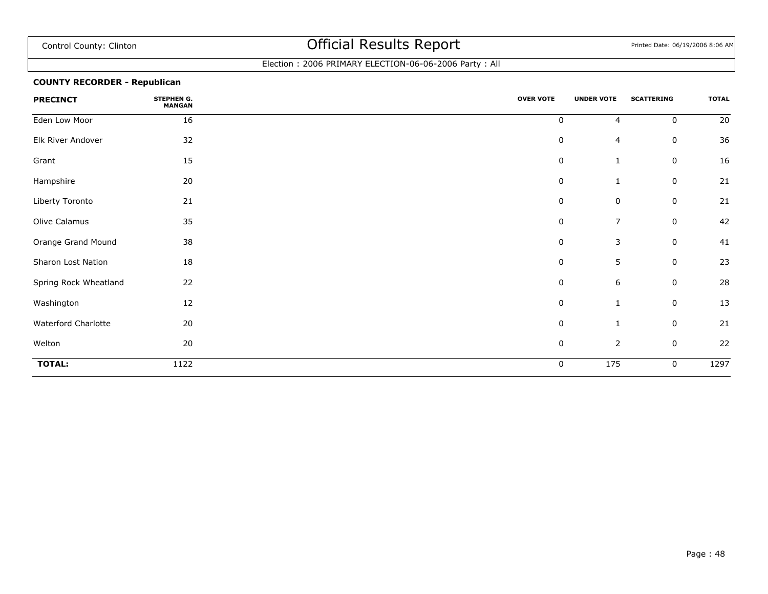### Election : 2006 PRIMARY ELECTION-06-06-2006 Party : All

### **COUNTY RECORDER - Republican**

| <b>PRECINCT</b>       | STEPHEN G.<br><b>MANGAN</b> | <b>OVER VOTE</b> | <b>UNDER VOTE</b> | <b>SCATTERING</b> | <b>TOTAL</b> |
|-----------------------|-----------------------------|------------------|-------------------|-------------------|--------------|
| Eden Low Moor         | 16                          | $\mathbf 0$      | $\overline{4}$    | $\mathbf 0$       | 20           |
| Elk River Andover     | 32                          | $\pmb{0}$        | 4                 | 0                 | 36           |
| Grant                 | 15                          | $\pmb{0}$        | $\mathbf{1}$      | 0                 | 16           |
| Hampshire             | $20\,$                      | $\pmb{0}$        | $\mathbf{1}$      | 0                 | 21           |
| Liberty Toronto       | 21                          | 0                | 0                 | 0                 | 21           |
| Olive Calamus         | 35                          | 0                | $\overline{7}$    | $\mathbf 0$       | 42           |
| Orange Grand Mound    | 38                          | 0                | $\mathsf 3$       | $\mathbf 0$       | 41           |
| Sharon Lost Nation    | 18                          | 0                | 5                 | $\mathbf 0$       | 23           |
| Spring Rock Wheatland | 22                          | 0                | $\,$ 6 $\,$       | $\mathbf 0$       | 28           |
| Washington            | 12                          | 0                | $\mathbf{1}$      | $\mathbf 0$       | 13           |
| Waterford Charlotte   | 20                          | 0                | $\mathbf{1}$      | 0                 | 21           |
| Welton                | 20                          | 0                | $\overline{2}$    | $\mathsf 0$       | 22           |
| <b>TOTAL:</b>         | 1122                        | 0                | 175               | 0                 | 1297         |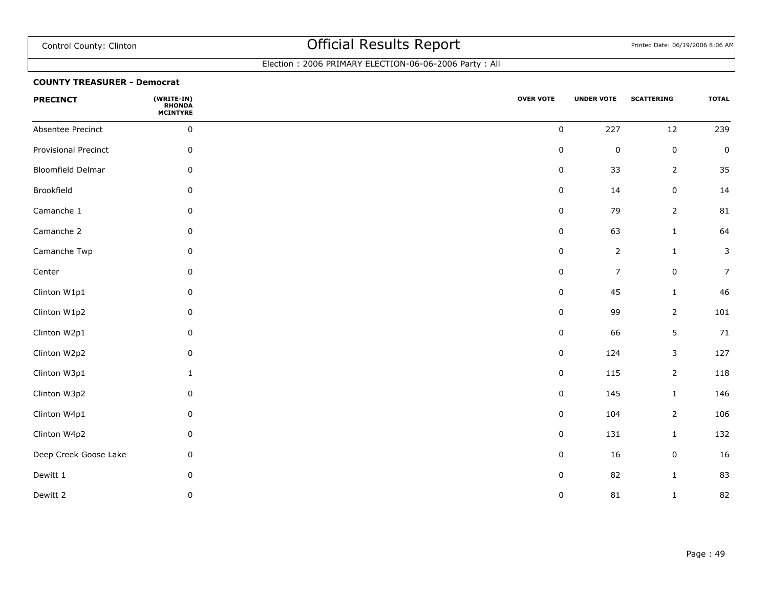### Election : 2006 PRIMARY ELECTION-06-06-2006 Party : All

#### **COUNTY TREASURER - Democrat**

| <b>PRECINCT</b>          | (WRITE-IN)<br>RHONDA<br>MCINTYRE | <b>OVER VOTE</b> | <b>UNDER VOTE</b> | <b>SCATTERING</b> | <b>TOTAL</b>   |
|--------------------------|----------------------------------|------------------|-------------------|-------------------|----------------|
| Absentee Precinct        | $\pmb{0}$                        | $\pmb{0}$        | 227               | $12\,$            | 239            |
| Provisional Precinct     | $\pmb{0}$                        | $\pmb{0}$        | $\pmb{0}$         | $\pmb{0}$         | $\pmb{0}$      |
| <b>Bloomfield Delmar</b> | 0                                | $\pmb{0}$        | 33                | $\overline{2}$    | 35             |
| Brookfield               | $\mathbf 0$                      | $\pmb{0}$        | 14                | $\pmb{0}$         | 14             |
| Camanche 1               | $\mathbf 0$                      | $\pmb{0}$        | 79                | $\overline{2}$    | 81             |
| Camanche 2               | 0                                | $\pmb{0}$        | 63                | $\mathbf 1$       | 64             |
| Camanche Twp             | 0                                | $\pmb{0}$        | $\mathbf{2}$      | $\mathbf 1$       | $\mathsf{3}$   |
| Center                   | $\mathbf 0$                      | $\pmb{0}$        | $\overline{7}$    | $\pmb{0}$         | $\overline{7}$ |
| Clinton W1p1             | $\mathbf 0$                      | $\pmb{0}$        | 45                | $\mathbf{1}$      | 46             |
| Clinton W1p2             | 0                                | $\pmb{0}$        | 99                | $\overline{2}$    | 101            |
| Clinton W2p1             | $\mathbf 0$                      | $\pmb{0}$        | 66                | 5                 | 71             |
| Clinton W2p2             | $\pmb{0}$                        | $\pmb{0}$        | 124               | 3                 | 127            |
| Clinton W3p1             | $\mathbf{1}$                     | $\pmb{0}$        | 115               | $\overline{2}$    | 118            |
| Clinton W3p2             | 0                                | $\mathbf 0$      | 145               | $\mathbf{1}$      | 146            |
| Clinton W4p1             | $\mathbf 0$                      | $\pmb{0}$        | 104               | $\overline{2}$    | 106            |
| Clinton W4p2             | $\mathbf 0$                      | $\pmb{0}$        | 131               | $\mathbf{1}$      | 132            |
| Deep Creek Goose Lake    | 0                                | $\pmb{0}$        | 16                | $\pmb{0}$         | 16             |
| Dewitt 1                 | $\mathbf 0$                      | $\pmb{0}$        | 82                | $\mathbf{1}$      | 83             |
| Dewitt 2                 | $\pmb{0}$                        | $\pmb{0}$        | 81                | $\mathbf 1$       | 82             |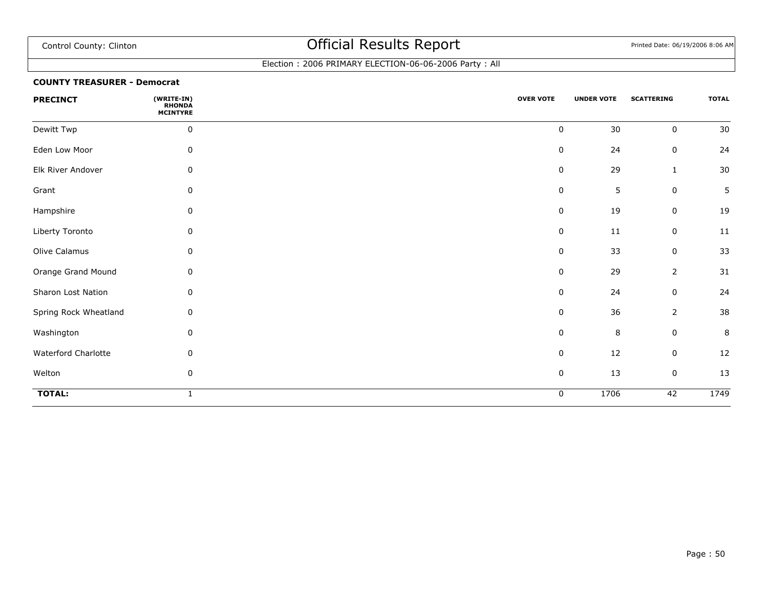### Election : 2006 PRIMARY ELECTION-06-06-2006 Party : All

#### **COUNTY TREASURER - Democrat**

| <b>PRECINCT</b>       | (WRITE-IN)<br><b>RHONDA</b><br><b>MCINTYRE</b> | <b>OVER VOTE</b> | <b>UNDER VOTE</b> | <b>SCATTERING</b> | <b>TOTAL</b> |
|-----------------------|------------------------------------------------|------------------|-------------------|-------------------|--------------|
| Dewitt Twp            | $\pmb{0}$                                      | $\pmb{0}$        | 30                | $\mathbf 0$       | 30           |
| Eden Low Moor         | 0                                              | $\pmb{0}$        | 24                | $\pmb{0}$         | 24           |
| Elk River Andover     | 0                                              | $\pmb{0}$        | 29                | $\mathbf{1}$      | $30\,$       |
| Grant                 | 0                                              | 0                | 5                 | $\pmb{0}$         | 5            |
| Hampshire             | 0                                              | 0                | 19                | 0                 | 19           |
| Liberty Toronto       | 0                                              | 0                | 11                | 0                 | 11           |
| Olive Calamus         | 0                                              | 0                | 33                | 0                 | 33           |
| Orange Grand Mound    | 0                                              | 0                | 29                | $\overline{2}$    | 31           |
| Sharon Lost Nation    | 0                                              | $\pmb{0}$        | 24                | $\pmb{0}$         | 24           |
| Spring Rock Wheatland | $\mathbf 0$                                    | $\pmb{0}$        | 36                | $\overline{2}$    | 38           |
| Washington            | 0                                              | $\pmb{0}$        | 8                 | $\pmb{0}$         | $\,8\,$      |
| Waterford Charlotte   | $\mathbf 0$                                    | 0                | 12                | 0                 | 12           |
| Welton                | 0                                              | $\pmb{0}$        | 13                | $\pmb{0}$         | 13           |
| <b>TOTAL:</b>         |                                                | 0                | 1706              | 42                | 1749         |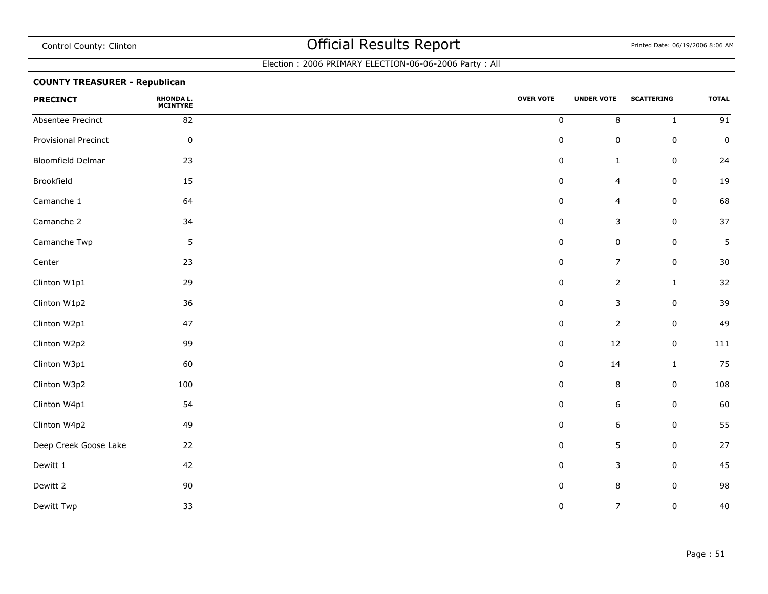### Election : 2006 PRIMARY ELECTION-06-06-2006 Party : All

### **COUNTY TREASURER - Republican**

| <b>PRECINCT</b>       | <b>RHONDA L.</b><br><b>MCINTYRE</b> | <b>OVER VOTE</b> | <b>UNDER VOTE</b> | <b>SCATTERING</b> | <b>TOTAL</b>    |
|-----------------------|-------------------------------------|------------------|-------------------|-------------------|-----------------|
| Absentee Precinct     | 82                                  | $\pmb{0}$        | $\,8\,$           | $\mathbf{1}$      | $\overline{91}$ |
| Provisional Precinct  | $\pmb{0}$                           | 0                | $\pmb{0}$         | $\mathsf 0$       | $\mathsf 0$     |
| Bloomfield Delmar     | 23                                  | 0                | $\mathbf{1}$      | 0                 | 24              |
| Brookfield            | 15                                  | 0                | 4                 | $\mathsf 0$       | 19              |
| Camanche 1            | 64                                  | 0                | $\overline{4}$    | $\mathbf 0$       | 68              |
| Camanche 2            | 34                                  | 0                | $\mathsf 3$       | $\mathsf 0$       | 37              |
| Camanche Twp          | 5                                   | $\pmb{0}$        | $\pmb{0}$         | $\pmb{0}$         | 5               |
| Center                | 23                                  | $\pmb{0}$        | $\boldsymbol{7}$  | $\pmb{0}$         | 30              |
| Clinton W1p1          | 29                                  | $\pmb{0}$        | $\mathbf{2}$      | $\mathbf 1$       | 32              |
| Clinton W1p2          | 36                                  | $\pmb{0}$        | $\mathsf 3$       | $\pmb{0}$         | 39              |
| Clinton W2p1          | 47                                  | $\pmb{0}$        | $\overline{2}$    | $\mathbf 0$       | 49              |
| Clinton W2p2          | 99                                  | $\pmb{0}$        | $12\,$            | $\mathsf 0$       | 111             |
| Clinton W3p1          | 60                                  | $\pmb{0}$        | 14                | $\mathbf{1}$      | 75              |
| Clinton W3p2          | 100                                 | $\pmb{0}$        | $\,8\,$           | $\mathsf 0$       | 108             |
| Clinton W4p1          | 54                                  | 0                | 6                 | $\mathsf 0$       | 60              |
| Clinton W4p2          | 49                                  | 0                | 6                 | $\mathbf 0$       | 55              |
| Deep Creek Goose Lake | 22                                  | 0                | $\sqrt{5}$        | $\mathsf 0$       | 27              |
| Dewitt 1              | 42                                  | 0                | $\mathsf 3$       | $\mathsf 0$       | 45              |
| Dewitt 2              | 90                                  | 0                | 8                 | 0                 | 98              |
| Dewitt Twp            | 33                                  | 0                | $\boldsymbol{7}$  | $\mathsf 0$       | 40              |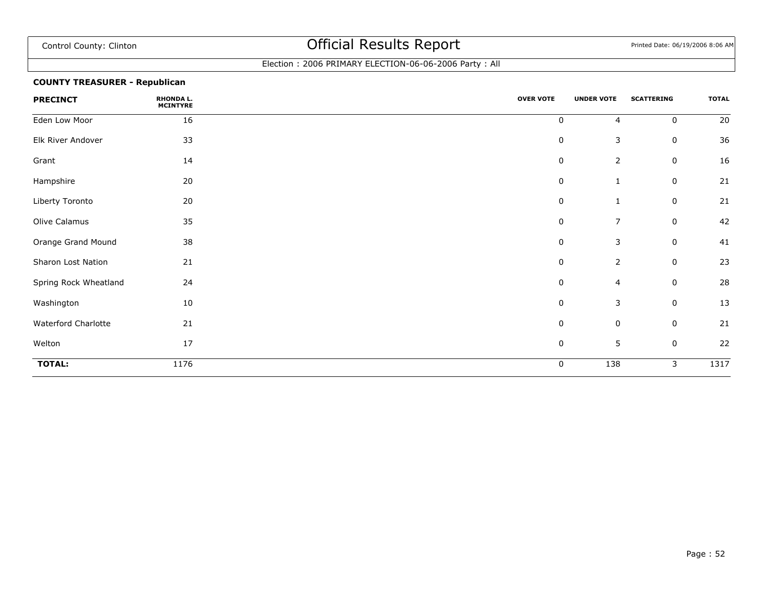### Election : 2006 PRIMARY ELECTION-06-06-2006 Party : All

### **COUNTY TREASURER - Republican**

| <b>PRECINCT</b>       | <b>RHONDA L.</b><br><b>MCINTYRE</b> | <b>OVER VOTE</b> | <b>UNDER VOTE</b> | <b>SCATTERING</b> | <b>TOTAL</b> |
|-----------------------|-------------------------------------|------------------|-------------------|-------------------|--------------|
| Eden Low Moor         | 16                                  | 0                | $\overline{4}$    | $\mathbf 0$       | 20           |
| Elk River Andover     | 33                                  | $\pmb{0}$        | $\mathsf 3$       | 0                 | 36           |
| Grant                 | 14                                  | $\pmb{0}$        | $\overline{2}$    | $\mathbf 0$       | 16           |
| Hampshire             | 20                                  | $\pmb{0}$        | $\mathbf{1}$      | 0                 | 21           |
| Liberty Toronto       | 20                                  | $\mathbf 0$      | 1                 | 0                 | 21           |
| Olive Calamus         | 35                                  | 0                | $\overline{7}$    | 0                 | 42           |
| Orange Grand Mound    | 38                                  | $\mathbf 0$      | 3                 | $\mathbf 0$       | 41           |
| Sharon Lost Nation    | 21                                  | 0                | $\overline{2}$    | 0                 | 23           |
| Spring Rock Wheatland | 24                                  | $\mathbf 0$      | $\overline{4}$    | 0                 | 28           |
| Washington            | 10                                  | $\pmb{0}$        | 3                 | $\mathbf 0$       | 13           |
| Waterford Charlotte   | 21                                  | $\pmb{0}$        | $\mathsf 0$       | 0                 | 21           |
| Welton                | 17                                  | $\mathbf 0$      | $\sqrt{5}$        | $\mathbf 0$       | 22           |
| <b>TOTAL:</b>         | 1176                                | $\mathbf 0$      | 138               | 3                 | 1317         |